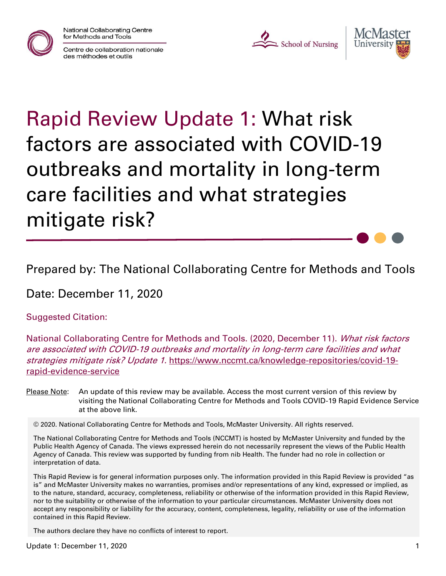National Collaborating Centre for Methods and Tools







# Rapid Review Update 1: What risk factors are associated with COVID-19 outbreaks and mortality in long-term care facilities and what strategies mitigate risk?

Prepared by: The National Collaborating Centre for Methods and Tools

Date: December 11, 2020

Suggested Citation:

National Collaborating Centre for Methods and Tools. (2020, December 11). *What risk factors* are associated with COVID-19 outbreaks and mortality in long-term care facilities and what strategies mitigate risk? Update 1. [https://www.nccmt.ca/knowledge-repositories/covid-19](https://www.nccmt.ca/knowledge-repositories/covid-19-rapid-evidence-service) [rapid-evidence-service](https://www.nccmt.ca/knowledge-repositories/covid-19-rapid-evidence-service)

Please Note: An update of this review may be available. Access the most current version of this review by visiting the National Collaborating Centre for Methods and Tools COVID-19 Rapid Evidence Service at the above link.

© 2020. National Collaborating Centre for Methods and Tools, McMaster University. All rights reserved.

The National Collaborating Centre for Methods and Tools (NCCMT) is hosted by McMaster University and funded by the Public Health Agency of Canada. The views expressed herein do not necessarily represent the views of the Public Health Agency of Canada. This review was supported by funding from nib Health. The funder had no role in collection or interpretation of data.

This Rapid Review is for general information purposes only. The information provided in this Rapid Review is provided "as is" and McMaster University makes no warranties, promises and/or representations of any kind, expressed or implied, as to the nature, standard, accuracy, completeness, reliability or otherwise of the information provided in this Rapid Review, nor to the suitability or otherwise of the information to your particular circumstances. McMaster University does not accept any responsibility or liability for the accuracy, content, completeness, legality, reliability or use of the information contained in this Rapid Review.

The authors declare they have no conflicts of interest to report.

Update 1: December 11, 2020 1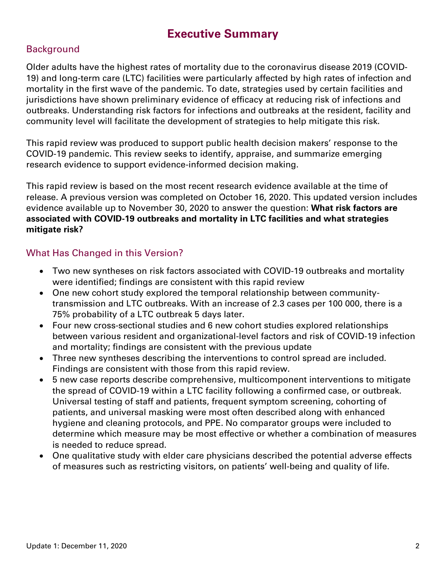## **Executive Summary**

#### **Background**

Older adults have the highest rates of mortality due to the coronavirus disease 2019 (COVID-19) and long-term care (LTC) facilities were particularly affected by high rates of infection and mortality in the first wave of the pandemic. To date, strategies used by certain facilities and jurisdictions have shown preliminary evidence of efficacy at reducing risk of infections and outbreaks. Understanding risk factors for infections and outbreaks at the resident, facility and community level will facilitate the development of strategies to help mitigate this risk.

This rapid review was produced to support public health decision makers' response to the COVID-19 pandemic. This review seeks to identify, appraise, and summarize emerging research evidence to support evidence-informed decision making.

This rapid review is based on the most recent research evidence available at the time of release. A previous version was completed on October 16, 2020. This updated version includes evidence available up to November 30, 2020 to answer the question: **What risk factors are associated with COVID-19 outbreaks and mortality in LTC facilities and what strategies mitigate risk?**

#### What Has Changed in this Version?

- Two new syntheses on risk factors associated with COVID-19 outbreaks and mortality were identified; findings are consistent with this rapid review
- One new cohort study explored the temporal relationship between communitytransmission and LTC outbreaks. With an increase of 2.3 cases per 100 000, there is a 75% probability of a LTC outbreak 5 days later.
- Four new cross-sectional studies and 6 new cohort studies explored relationships between various resident and organizational-level factors and risk of COVID-19 infection and mortality; findings are consistent with the previous update
- Three new syntheses describing the interventions to control spread are included. Findings are consistent with those from this rapid review.
- 5 new case reports describe comprehensive, multicomponent interventions to mitigate the spread of COVID-19 within a LTC facility following a confirmed case, or outbreak. Universal testing of staff and patients, frequent symptom screening, cohorting of patients, and universal masking were most often described along with enhanced hygiene and cleaning protocols, and PPE. No comparator groups were included to determine which measure may be most effective or whether a combination of measures is needed to reduce spread.
- One qualitative study with elder care physicians described the potential adverse effects of measures such as restricting visitors, on patients' well-being and quality of life.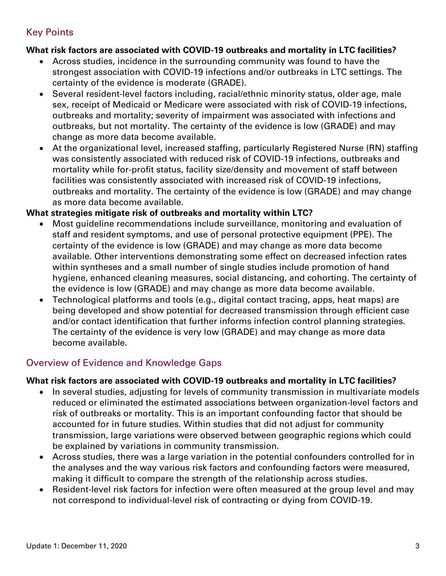#### Key Points

#### **What risk factors are associated with COVID-19 outbreaks and mortality in LTC facilities?**

- Across studies, incidence in the surrounding community was found to have the strongest association with COVID-19 infections and/or outbreaks in LTC settings. The certainty of the evidence is moderate (GRADE).
- Several resident-level factors including, racial/ethnic minority status, older age, male sex, receipt of Medicaid or Medicare were associated with risk of COVID-19 infections, outbreaks and mortality; severity of impairment was associated with infections and outbreaks, but not mortality. The certainty of the evidence is low (GRADE) and may change as more data become available.
- At the organizational level, increased staffing, particularly Registered Nurse (RN) staffing was consistently associated with reduced risk of COVID-19 infections, outbreaks and mortality while for-profit status, facility size/density and movement of staff between facilities was consistently associated with increased risk of COVID-19 infections, outbreaks and mortality. The certainty of the evidence is low (GRADE) and may change as more data become available.

#### **What strategies mitigate risk of outbreaks and mortality within LTC?**

- Most guideline recommendations include surveillance, monitoring and evaluation of staff and resident symptoms, and use of personal protective equipment (PPE). The certainty of the evidence is low (GRADE) and may change as more data become available. Other interventions demonstrating some effect on decreased infection rates within syntheses and a small number of single studies include promotion of hand hygiene, enhanced cleaning measures, social distancing, and cohorting. The certainty of the evidence is low (GRADE) and may change as more data become available.
- Technological platforms and tools (e.g., digital contact tracing, apps, heat maps) are being developed and show potential for decreased transmission through efficient case and/or contact identification that further informs infection control planning strategies. The certainty of the evidence is very low (GRADE) and may change as more data become available.

#### Overview of Evidence and Knowledge Gaps

#### **What risk factors are associated with COVID-19 outbreaks and mortality in LTC facilities?**

- In several studies, adjusting for levels of community transmission in multivariate models reduced or eliminated the estimated associations between organization-level factors and risk of outbreaks or mortality. This is an important confounding factor that should be accounted for in future studies. Within studies that did not adjust for community transmission, large variations were observed between geographic regions which could be explained by variations in community transmission.
- Across studies, there was a large variation in the potential confounders controlled for in the analyses and the way various risk factors and confounding factors were measured, making it difficult to compare the strength of the relationship across studies.
- Resident-level risk factors for infection were often measured at the group level and may not correspond to individual-level risk of contracting or dying from COVID-19.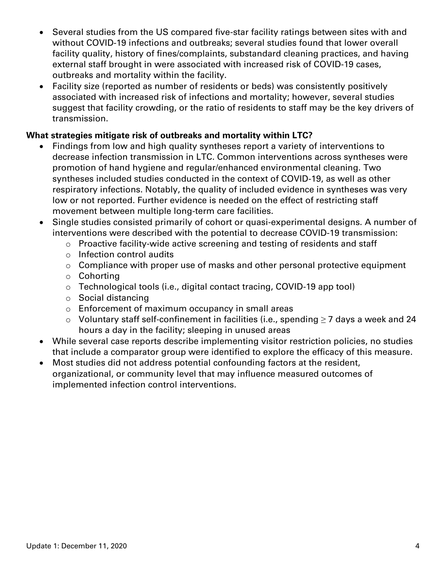- Several studies from the US compared five-star facility ratings between sites with and without COVID-19 infections and outbreaks; several studies found that lower overall facility quality, history of fines/complaints, substandard cleaning practices, and having external staff brought in were associated with increased risk of COVID-19 cases, outbreaks and mortality within the facility.
- Facility size (reported as number of residents or beds) was consistently positively associated with increased risk of infections and mortality; however, several studies suggest that facility crowding, or the ratio of residents to staff may be the key drivers of transmission.

#### **What strategies mitigate risk of outbreaks and mortality within LTC?**

- Findings from low and high quality syntheses report a variety of interventions to decrease infection transmission in LTC. Common interventions across syntheses were promotion of hand hygiene and regular/enhanced environmental cleaning. Two syntheses included studies conducted in the context of COVID-19, as well as other respiratory infections. Notably, the quality of included evidence in syntheses was very low or not reported. Further evidence is needed on the effect of restricting staff movement between multiple long-term care facilities.
- Single studies consisted primarily of cohort or quasi-experimental designs. A number of interventions were described with the potential to decrease COVID-19 transmission:
	- o Proactive facility-wide active screening and testing of residents and staff
	- o Infection control audits
	- o Compliance with proper use of masks and other personal protective equipment
	- o Cohorting
	- o Technological tools (i.e., digital contact tracing, COVID-19 app tool)
	- o Social distancing
	- o Enforcement of maximum occupancy in small areas
	- o Voluntary staff self-confinement in facilities (i.e., spending  $≥7$  days a week and 24 hours a day in the facility; sleeping in unused areas
- While several case reports describe implementing visitor restriction policies, no studies that include a comparator group were identified to explore the efficacy of this measure.
- Most studies did not address potential confounding factors at the resident, organizational, or community level that may influence measured outcomes of implemented infection control interventions.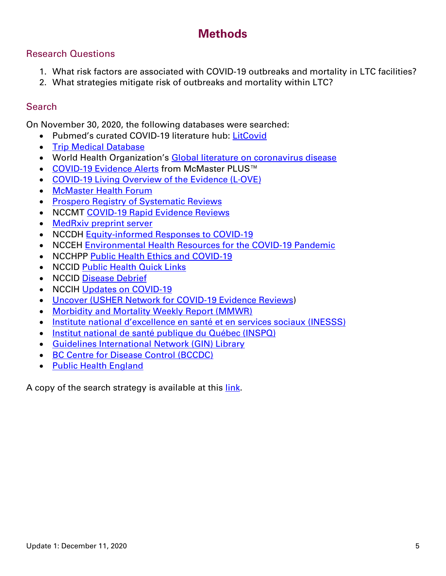## **Methods**

#### Research Questions

- 1. What risk factors are associated with COVID-19 outbreaks and mortality in LTC facilities?
- 2. What strategies mitigate risk of outbreaks and mortality within LTC?

#### **Search**

On November 30, 2020, the following databases were searched:

- Pubmed's curated COVID-19 literature hub: [LitCovid](https://www.ncbi.nlm.nih.gov/research/coronavirus/)
- [Trip Medical Database](https://www.tripdatabase.com/)
- World Health Organization's [Global literature on coronavirus disease](https://search.bvsalud.org/global-literature-on-novel-coronavirus-2019-ncov/)
- [COVID-19 Evidence Alerts](https://plus.mcmaster.ca/COVID-19/Home) from McMaster PLUS™
- [COVID-19 Living Overview of the Evidence \(L·OVE\)](https://app.iloveevidence.com/loves/5e6fdb9669c00e4ac072701d)
- [McMaster Health Forum](https://app.iloveevidence.com/loves/5e6fdb9669c00e4ac072701d)
- [Prospero Registry of Systematic Reviews](https://www.crd.york.ac.uk/prospero/display_record.php?RecordID=193751)
- NCCMT [COVID-19 Rapid Evidence Reviews](https://www.nccmt.ca/knowledge-repositories/covid-19-evidence-reviews)
- [MedRxiv preprint server](https://www.medrxiv.org/)
- NCCDH [Equity-informed Responses to COVID-19](http://nccdh.ca/our-work/covid-19)
- NCCEH [Environmental Health Resources for the COVID-19 Pandemic](https://ncceh.ca/environmental-health-in-canada/health-agency-projects/environmental-health-resources-covid-19)
- NCCHPP [Public Health Ethics and COVID-19](https://www.nccih.ca/485/NCCIH_in_the_News.nccih?id=450)
- NCCID [Public Health Quick Links](https://nccid.ca/coronavirus-quick-links/)
- NCCID [Disease Debrief](https://nccid.ca/2019-novel-coronavirus-outbreak/)
- NCCIH [Updates on COVID-19](https://www.nccih.ca/485/NCCIH_in_the_News.nccih?id=450)
- [Uncover \(USHER Network for COVID-19 Evidence Reviews\)](https://www.ed.ac.uk/usher/uncover)
- [Morbidity and Mortality Weekly Report \(MMWR\)](https://www.cdc.gov/mmwr/index.html)
- [Institute national d'excellence en santé et en services soci](https://www.inesss.qc.ca/covid-19/services-sociaux.html)aux (INESSS)
- [Institut national de santé publique du Québec \(INSPQ\)](https://www.inspq.qc.ca/)
- [Guidelines International Network \(GIN\) Library](https://g-i-n.net/library)
- [BC Centre for Disease Control \(BCCDC\)](http://covid-19.bccdc.ca/)
- [Public Health England](https://www.gov.uk/government/organisations/public-health-england)

A copy of the search strategy is available at this [link.](https://www.nccmt.ca/uploads/media/media/0001/02/a62d5f3f8cc5a6dd0f7988b21f19f9a3f121c31f.pdf)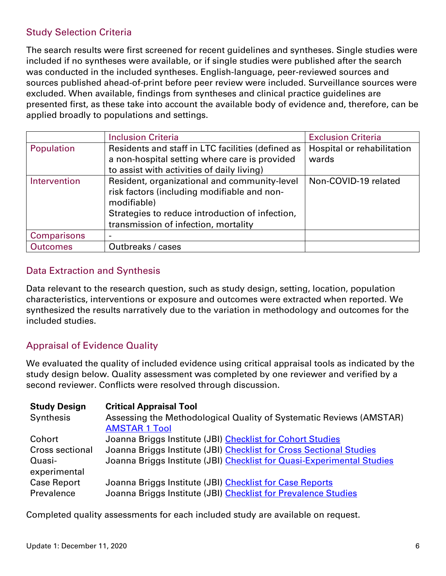#### Study Selection Criteria

The search results were first screened for recent guidelines and syntheses. Single studies were included if no syntheses were available, or if single studies were published after the search was conducted in the included syntheses. English-language, peer-reviewed sources and sources published ahead-of-print before peer review were included. Surveillance sources were excluded. When available, findings from syntheses and clinical practice guidelines are presented first, as these take into account the available body of evidence and, therefore, can be applied broadly to populations and settings.

|                    | <b>Inclusion Criteria</b>                         | <b>Exclusion Criteria</b>  |
|--------------------|---------------------------------------------------|----------------------------|
| Population         | Residents and staff in LTC facilities (defined as | Hospital or rehabilitation |
|                    | a non-hospital setting where care is provided     | wards                      |
|                    | to assist with activities of daily living)        |                            |
| Intervention       | Resident, organizational and community-level      | Non-COVID-19 related       |
|                    | risk factors (including modifiable and non-       |                            |
|                    | modifiable)                                       |                            |
|                    | Strategies to reduce introduction of infection,   |                            |
|                    | transmission of infection, mortality              |                            |
| <b>Comparisons</b> |                                                   |                            |
| <b>Outcomes</b>    | Outbreaks / cases                                 |                            |

#### Data Extraction and Synthesis

Data relevant to the research question, such as study design, setting, location, population characteristics, interventions or exposure and outcomes were extracted when reported. We synthesized the results narratively due to the variation in methodology and outcomes for the included studies.

#### Appraisal of Evidence Quality

We evaluated the quality of included evidence using critical appraisal tools as indicated by the study design below. Quality assessment was completed by one reviewer and verified by a second reviewer. Conflicts were resolved through discussion.

| <b>Study Design</b> | <b>Critical Appraisal Tool</b>                                         |
|---------------------|------------------------------------------------------------------------|
| Synthesis           | Assessing the Methodological Quality of Systematic Reviews (AMSTAR)    |
|                     | <b>AMSTAR 1 Tool</b>                                                   |
| Cohort              | Joanna Briggs Institute (JBI) Checklist for Cohort Studies             |
| Cross sectional     | Joanna Briggs Institute (JBI) Checklist for Cross Sectional Studies    |
| Quasi-              | Joanna Briggs Institute (JBI) Checklist for Quasi-Experimental Studies |
| experimental        |                                                                        |
| <b>Case Report</b>  | Joanna Briggs Institute (JBI) Checklist for Case Reports               |
| Prevalence          | Joanna Briggs Institute (JBI) Checklist for Prevalence Studies         |

Completed quality assessments for each included study are available on request.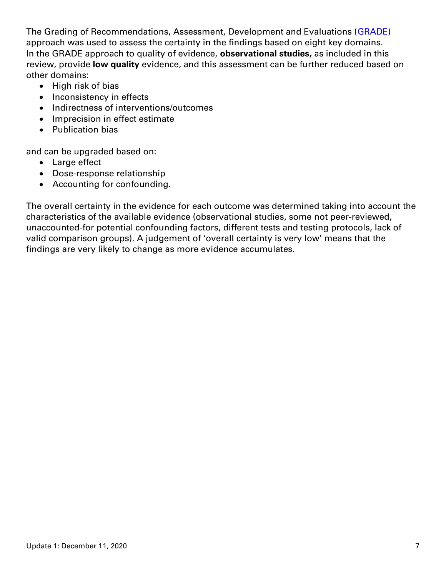The Grading of Recommendations, Assessment, Development and Evaluations [\(GRADE\)](https://gdt.gradepro.org/app/handbook/handbook.html) approach was used to assess the certainty in the findings based on eight key domains. In the GRADE approach to quality of evidence, **observational studies,** as included in this review, provide **low quality** evidence, and this assessment can be further reduced based on other domains:

- High risk of bias
- Inconsistency in effects
- Indirectness of interventions/outcomes
- Imprecision in effect estimate
- Publication bias

and can be upgraded based on:

- Large effect
- Dose-response relationship
- Accounting for confounding.

The overall certainty in the evidence for each outcome was determined taking into account the characteristics of the available evidence (observational studies, some not peer-reviewed, unaccounted-for potential confounding factors, different tests and testing protocols, lack of valid comparison groups). A judgement of 'overall certainty is very low' means that the findings are very likely to change as more evidence accumulates.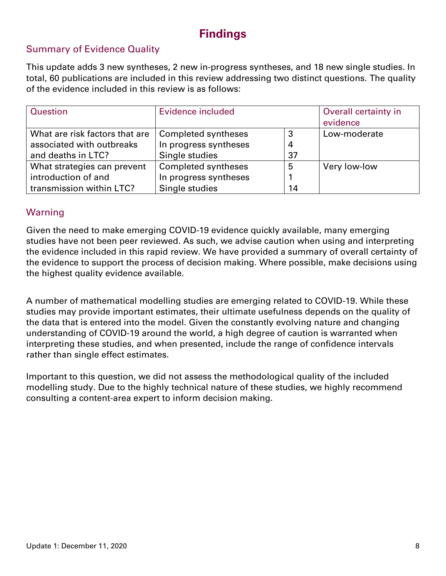## **Findings**

#### Summary of Evidence Quality

This update adds 3 new syntheses, 2 new in-progress syntheses, and 18 new single studies. In total, 60 publications are included in this review addressing two distinct questions. The quality of the evidence included in this review is as follows:

| Question                       | Evidence included     | Overall certainty in<br>evidence |              |
|--------------------------------|-----------------------|----------------------------------|--------------|
| What are risk factors that are | Completed syntheses   | 3                                | Low-moderate |
| associated with outbreaks      | In progress syntheses | $\overline{4}$                   |              |
| and deaths in LTC?             | Single studies        | 37                               |              |
| What strategies can prevent    | Completed syntheses   | 5                                | Very low-low |
| introduction of and            | In progress syntheses |                                  |              |
| transmission within LTC?       | Single studies        | 14                               |              |

#### Warning

Given the need to make emerging COVID-19 evidence quickly available, many emerging studies have not been peer reviewed. As such, we advise caution when using and interpreting the evidence included in this rapid review. We have provided a summary of overall certainty of the evidence to support the process of decision making. Where possible, make decisions using the highest quality evidence available.

A number of mathematical modelling studies are emerging related to COVID-19. While these studies may provide important estimates, their ultimate usefulness depends on the quality of the data that is entered into the model. Given the constantly evolving nature and changing understanding of COVID-19 around the world, a high degree of caution is warranted when interpreting these studies, and when presented, include the range of confidence intervals rather than single effect estimates.

Important to this question, we did not assess the methodological quality of the included modelling study. Due to the highly technical nature of these studies, we highly recommend consulting a content-area expert to inform decision making.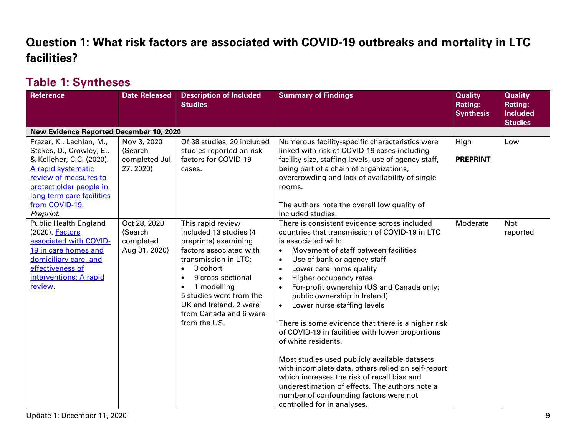# **Question 1: What risk factors are associated with COVID-19 outbreaks and mortality in LTC facilities?**

## **Table 1: Syntheses**

| <b>Reference</b>                                                                                                                                                                                                       | <b>Date Released</b>                                  | <b>Description of Included</b><br><b>Studies</b>                                                                                                                                                                                                                                                             | <b>Summary of Findings</b>                                                                                                                                                                                                                                                                                                                                                                                                                                                                                                                                                                                                                                                                                                                                                                                                                                    | <b>Quality</b><br><b>Rating:</b><br><b>Synthesis</b> | <b>Quality</b><br><b>Rating:</b><br><b>Included</b><br><b>Studies</b> |
|------------------------------------------------------------------------------------------------------------------------------------------------------------------------------------------------------------------------|-------------------------------------------------------|--------------------------------------------------------------------------------------------------------------------------------------------------------------------------------------------------------------------------------------------------------------------------------------------------------------|---------------------------------------------------------------------------------------------------------------------------------------------------------------------------------------------------------------------------------------------------------------------------------------------------------------------------------------------------------------------------------------------------------------------------------------------------------------------------------------------------------------------------------------------------------------------------------------------------------------------------------------------------------------------------------------------------------------------------------------------------------------------------------------------------------------------------------------------------------------|------------------------------------------------------|-----------------------------------------------------------------------|
| New Evidence Reported December 10, 2020                                                                                                                                                                                |                                                       |                                                                                                                                                                                                                                                                                                              |                                                                                                                                                                                                                                                                                                                                                                                                                                                                                                                                                                                                                                                                                                                                                                                                                                                               |                                                      |                                                                       |
| Frazer, K., Lachlan, M.,<br>Stokes, D., Crowley, E.,<br>& Kelleher, C.C. (2020).<br>A rapid systematic<br>review of measures to<br>protect older people in<br>long term care facilities<br>from COVID-19.<br>Preprint. | Nov 3, 2020<br>(Search<br>completed Jul<br>27, 2020)  | Of 38 studies, 20 included<br>studies reported on risk<br>factors for COVID-19<br>cases.                                                                                                                                                                                                                     | Numerous facility-specific characteristics were<br>linked with risk of COVID-19 cases including<br>facility size, staffing levels, use of agency staff,<br>being part of a chain of organizations,<br>overcrowding and lack of availability of single<br>rooms.<br>The authors note the overall low quality of<br>included studies.                                                                                                                                                                                                                                                                                                                                                                                                                                                                                                                           | High<br><b>PREPRINT</b>                              | Low                                                                   |
| <b>Public Health England</b><br>(2020). <b>Factors</b><br>associated with COVID-<br>19 in care homes and<br>domiciliary care, and<br>effectiveness of<br>interventions: A rapid<br>review.                             | Oct 28, 2020<br>(Search<br>completed<br>Aug 31, 2020) | This rapid review<br>included 13 studies (4<br>preprints) examining<br>factors associated with<br>transmission in LTC:<br>3 cohort<br>$\bullet$<br>9 cross-sectional<br>$\bullet$<br>1 modelling<br>$\bullet$<br>5 studies were from the<br>UK and Ireland, 2 were<br>from Canada and 6 were<br>from the US. | There is consistent evidence across included<br>countries that transmission of COVID-19 in LTC<br>is associated with:<br>Movement of staff between facilities<br>$\bullet$<br>Use of bank or agency staff<br>$\bullet$<br>Lower care home quality<br>$\bullet$<br>Higher occupancy rates<br>$\bullet$<br>For-profit ownership (US and Canada only;<br>$\bullet$<br>public ownership in Ireland)<br>Lower nurse staffing levels<br>$\bullet$<br>There is some evidence that there is a higher risk<br>of COVID-19 in facilities with lower proportions<br>of white residents.<br>Most studies used publicly available datasets<br>with incomplete data, others relied on self-report<br>which increases the risk of recall bias and<br>underestimation of effects. The authors note a<br>number of confounding factors were not<br>controlled for in analyses. | Moderate                                             | <b>Not</b><br>reported                                                |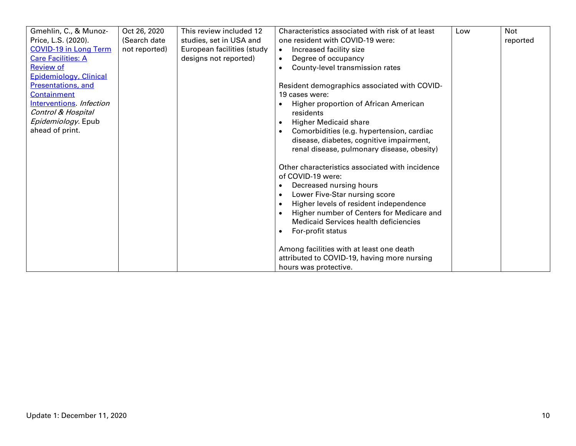| Gmehlin, C., & Munoz-        | Oct 26, 2020  | This review included 12    | Characteristics associated with risk of at least       | Low | <b>Not</b> |
|------------------------------|---------------|----------------------------|--------------------------------------------------------|-----|------------|
| Price, L.S. (2020).          | (Search date) | studies, set in USA and    | one resident with COVID-19 were:                       |     | reported   |
| <b>COVID-19 in Long Term</b> | not reported) | European facilities (study | Increased facility size<br>$\bullet$                   |     |            |
| <b>Care Facilities: A</b>    |               | designs not reported)      | Degree of occupancy<br>$\bullet$                       |     |            |
| <b>Review of</b>             |               |                            | County-level transmission rates<br>$\bullet$           |     |            |
| Epidemiology, Clinical       |               |                            |                                                        |     |            |
| Presentations, and           |               |                            | Resident demographics associated with COVID-           |     |            |
| <b>Containment</b>           |               |                            | 19 cases were:                                         |     |            |
| Interventions. Infection     |               |                            | Higher proportion of African American                  |     |            |
| Control & Hospital           |               |                            | residents                                              |     |            |
| Epidemiology. Epub           |               |                            | <b>Higher Medicaid share</b><br>$\bullet$              |     |            |
| ahead of print.              |               |                            | Comorbidities (e.g. hypertension, cardiac              |     |            |
|                              |               |                            | disease, diabetes, cognitive impairment,               |     |            |
|                              |               |                            | renal disease, pulmonary disease, obesity)             |     |            |
|                              |               |                            |                                                        |     |            |
|                              |               |                            | Other characteristics associated with incidence        |     |            |
|                              |               |                            | of COVID-19 were:                                      |     |            |
|                              |               |                            | Decreased nursing hours<br>$\bullet$                   |     |            |
|                              |               |                            | Lower Five-Star nursing score<br>$\bullet$             |     |            |
|                              |               |                            | Higher levels of resident independence<br>$\bullet$    |     |            |
|                              |               |                            | Higher number of Centers for Medicare and<br>$\bullet$ |     |            |
|                              |               |                            | Medicaid Services health deficiencies                  |     |            |
|                              |               |                            | For-profit status<br>$\bullet$                         |     |            |
|                              |               |                            |                                                        |     |            |
|                              |               |                            | Among facilities with at least one death               |     |            |
|                              |               |                            | attributed to COVID-19, having more nursing            |     |            |
|                              |               |                            | hours was protective.                                  |     |            |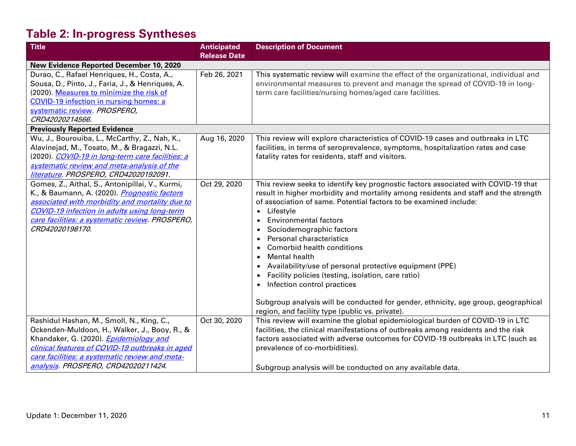# **Table 2: In-progress Syntheses**

| <b>Title</b>                                        | <b>Anticipated</b>  | <b>Description of Document</b>                                                       |
|-----------------------------------------------------|---------------------|--------------------------------------------------------------------------------------|
|                                                     | <b>Release Date</b> |                                                                                      |
| New Evidence Reported December 10, 2020             |                     |                                                                                      |
| Durao, C., Rafael Henriques, H., Costa, A.,         | Feb 26, 2021        | This systematic review will examine the effect of the organizational, individual and |
| Sousa, D., Pinto, J., Faria, J., & Henriques, A.    |                     | environmental measures to prevent and manage the spread of COVID-19 in long-         |
| (2020). Measures to minimize the risk of            |                     | term care facilities/nursing homes/aged care facilities.                             |
| COVID-19 infection in nursing homes: a              |                     |                                                                                      |
| systematic review. PROSPERO,                        |                     |                                                                                      |
| CRD42020214566.                                     |                     |                                                                                      |
| <b>Previously Reported Evidence</b>                 |                     |                                                                                      |
| Wu, J., Bourouiba, L., McCarthy, Z., Nah, K.,       | Aug 16, 2020        | This review will explore characteristics of COVID-19 cases and outbreaks in LTC      |
| Alavinejad, M., Tosato, M., & Bragazzi, N.L.        |                     | facilities, in terms of seroprevalence, symptoms, hospitalization rates and case     |
| (2020). COVID-19 in long-term care facilities: a    |                     | fatality rates for residents, staff and visitors.                                    |
| systematic review and meta-analysis of the          |                     |                                                                                      |
| literature. PROSPERO, CRD42020192091.               |                     |                                                                                      |
| Gomes, Z., Aithal, S., Antonipillai, V., Kurmi,     | Oct 29, 2020        | This review seeks to identify key prognostic factors associated with COVID-19 that   |
| K., & Baumann, A. (2020). Prognostic factors        |                     | result in higher morbidity and mortality among residents and staff and the strength  |
| associated with morbidity and mortality due to      |                     | of association of same. Potential factors to be examined include:                    |
| <b>COVID-19 infection in adults using long-term</b> |                     | Lifestyle<br>$\bullet$                                                               |
| care facilities: a systematic review. PROSPERO,     |                     | <b>Environmental factors</b><br>$\bullet$                                            |
| CRD42020198170.                                     |                     | Sociodemographic factors<br>$\bullet$                                                |
|                                                     |                     | Personal characteristics<br>$\bullet$                                                |
|                                                     |                     | Comorbid health conditions                                                           |
|                                                     |                     | <b>Mental health</b><br>$\bullet$                                                    |
|                                                     |                     | Availability/use of personal protective equipment (PPE)                              |
|                                                     |                     | Facility policies (testing, isolation, care ratio)                                   |
|                                                     |                     | Infection control practices                                                          |
|                                                     |                     |                                                                                      |
|                                                     |                     | Subgroup analysis will be conducted for gender, ethnicity, age group, geographical   |
|                                                     |                     | region, and facility type (public vs. private).                                      |
| Rashidul Hashan, M., Smoll, N., King, C.,           | Oct 30, 2020        | This review will examine the global epidemiological burden of COVID-19 in LTC        |
| Ockenden-Muldoon, H., Walker, J., Booy, R., &       |                     | facilities, the clinical manifestations of outbreaks among residents and the risk    |
| Khandaker, G. (2020). <i>Epidemiology and</i>       |                     | factors associated with adverse outcomes for COVID-19 outbreaks in LTC (such as      |
| clinical features of COVID-19 outbreaks in aged     |                     | prevalence of co-morbidities).                                                       |
| care facilities: a systematic review and meta-      |                     |                                                                                      |
| analysis. PROSPERO, CRD42020211424.                 |                     | Subgroup analysis will be conducted on any available data.                           |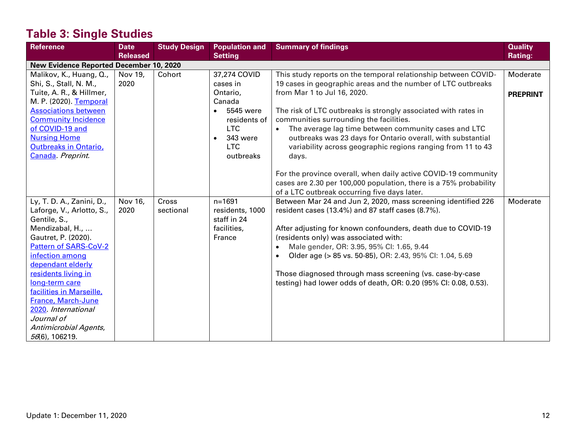# **Table 3: Single Studies**

| <b>Reference</b>                        | <b>Date</b>     | <b>Study Design</b> | <b>Population and</b> | <b>Summary of findings</b>                                            | <b>Quality</b>  |
|-----------------------------------------|-----------------|---------------------|-----------------------|-----------------------------------------------------------------------|-----------------|
|                                         | <b>Released</b> |                     | <b>Setting</b>        |                                                                       | <b>Rating:</b>  |
| New Evidence Reported December 10, 2020 |                 |                     |                       |                                                                       |                 |
| Malikov, K., Huang, Q.,                 | Nov 19,         | Cohort              | 37,274 COVID          | This study reports on the temporal relationship between COVID-        | Moderate        |
| Shi, S., Stall, N. M.,                  | 2020            |                     | cases in              | 19 cases in geographic areas and the number of LTC outbreaks          |                 |
| Tuite, A. R., & Hillmer,                |                 |                     | Ontario,              | from Mar 1 to Jul 16, 2020.                                           | <b>PREPRINT</b> |
| M. P. (2020). Temporal                  |                 |                     | Canada                |                                                                       |                 |
| <b>Associations between</b>             |                 |                     | 5545 were             | The risk of LTC outbreaks is strongly associated with rates in        |                 |
| <b>Community Incidence</b>              |                 |                     | residents of          | communities surrounding the facilities.                               |                 |
| of COVID-19 and                         |                 |                     | <b>LTC</b>            | The average lag time between community cases and LTC                  |                 |
| <b>Nursing Home</b>                     |                 |                     | 343 were              | outbreaks was 23 days for Ontario overall, with substantial           |                 |
| <b>Outbreaks in Ontario,</b>            |                 |                     | <b>LTC</b>            | variability across geographic regions ranging from 11 to 43           |                 |
| Canada. Preprint.                       |                 |                     | outbreaks             | days.                                                                 |                 |
|                                         |                 |                     |                       |                                                                       |                 |
|                                         |                 |                     |                       | For the province overall, when daily active COVID-19 community        |                 |
|                                         |                 |                     |                       | cases are 2.30 per 100,000 population, there is a 75% probability     |                 |
|                                         |                 |                     |                       | of a LTC outbreak occurring five days later.                          |                 |
| Ly, T. D. A., Zanini, D.,               | Nov 16,         | Cross               | $n = 1691$            | Between Mar 24 and Jun 2, 2020, mass screening identified 226         | Moderate        |
| Laforge, V., Arlotto, S.,               | 2020            | sectional           | residents, 1000       | resident cases (13.4%) and 87 staff cases (8.7%).                     |                 |
| Gentile, S.,                            |                 |                     | staff in 24           |                                                                       |                 |
| Mendizabal, H.,                         |                 |                     | facilities,           | After adjusting for known confounders, death due to COVID-19          |                 |
| Gautret, P. (2020).                     |                 |                     | France                | (residents only) was associated with:                                 |                 |
| <b>Pattern of SARS-CoV-2</b>            |                 |                     |                       | Male gender, OR: 3.95, 95% Cl: 1.65, 9.44                             |                 |
| infection among                         |                 |                     |                       | Older age (> 85 vs. 50-85), OR: 2.43, 95% Cl: 1.04, 5.69<br>$\bullet$ |                 |
| dependant elderly                       |                 |                     |                       |                                                                       |                 |
| residents living in                     |                 |                     |                       | Those diagnosed through mass screening (vs. case-by-case              |                 |
| long-term care                          |                 |                     |                       | testing) had lower odds of death, OR: 0.20 (95% CI: 0.08, 0.53).      |                 |
| facilities in Marseille,                |                 |                     |                       |                                                                       |                 |
| France, March-June                      |                 |                     |                       |                                                                       |                 |
| 2020. International                     |                 |                     |                       |                                                                       |                 |
| Journal of                              |                 |                     |                       |                                                                       |                 |
| Antimicrobial Agents,                   |                 |                     |                       |                                                                       |                 |
| 56(6), 106219.                          |                 |                     |                       |                                                                       |                 |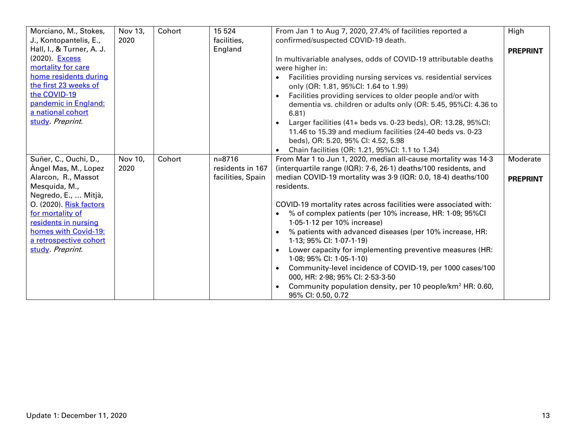| Morciano, M., Stokes,     | Nov 13, | Cohort | 15 5 24           | From Jan 1 to Aug 7, 2020, 27.4% of facilities reported a                   | High            |
|---------------------------|---------|--------|-------------------|-----------------------------------------------------------------------------|-----------------|
| J., Kontopantelis, E.,    | 2020    |        | facilities,       | confirmed/suspected COVID-19 death.                                         |                 |
| Hall, I., & Turner, A. J. |         |        | England           |                                                                             | <b>PREPRINT</b> |
| (2020). Excess            |         |        |                   | In multivariable analyses, odds of COVID-19 attributable deaths             |                 |
| mortality for care        |         |        |                   | were higher in:                                                             |                 |
| home residents during     |         |        |                   | Facilities providing nursing services vs. residential services<br>$\bullet$ |                 |
| the first 23 weeks of     |         |        |                   | only (OR: 1.81, 95%Cl: 1.64 to 1.99)                                        |                 |
| the COVID-19              |         |        |                   | Facilities providing services to older people and/or with                   |                 |
| pandemic in England:      |         |        |                   | dementia vs. children or adults only (OR: 5.45, 95%CI: 4.36 to              |                 |
| a national cohort         |         |        |                   | 6.81)                                                                       |                 |
| study. Preprint.          |         |        |                   | Larger facilities (41+ beds vs. 0-23 beds), OR: 13.28, 95%Cl:               |                 |
|                           |         |        |                   | 11.46 to 15.39 and medium facilities (24-40 beds vs. 0-23                   |                 |
|                           |         |        |                   | beds), OR: 5.20, 95% CI: 4.52, 5.98                                         |                 |
|                           |         |        |                   | Chain facilities (OR: 1.21, 95%Cl: 1.1 to 1.34)                             |                 |
| Suñer, C., Ouchi, D.,     | Nov 10, | Cohort | $n = 8716$        | From Mar 1 to Jun 1, 2020, median all-cause mortality was 14.3              | Moderate        |
| Angel Mas, M., Lopez      | 2020    |        | residents in 167  | (interquartile range (IQR): 7.6, 26.1) deaths/100 residents, and            |                 |
| Alarcon, R., Massot       |         |        | facilities, Spain | median COVID-19 mortality was 3.9 (IQR: 0.0, 18.4) deaths/100               | <b>PREPRINT</b> |
| Mesquida, M.,             |         |        |                   | residents.                                                                  |                 |
| Negredo, E.,  Mitjà,      |         |        |                   |                                                                             |                 |
| O. (2020). Risk factors   |         |        |                   | COVID-19 mortality rates across facilities were associated with:            |                 |
| for mortality of          |         |        |                   | % of complex patients (per 10% increase, HR: 1.09; 95%CI                    |                 |
| residents in nursing      |         |        |                   | $1.05 - 1.12$ per 10% increase)                                             |                 |
| homes with Covid-19:      |         |        |                   | % patients with advanced diseases (per 10% increase, HR:                    |                 |
| a retrospective cohort    |         |        |                   | $1.13$ ; 95% CI: $1.07 - 1.19$ )                                            |                 |
| study. Preprint.          |         |        |                   | Lower capacity for implementing preventive measures (HR:                    |                 |
|                           |         |        |                   | 1.08; 95% CI: $1.05-1.10$ )                                                 |                 |
|                           |         |        |                   | Community-level incidence of COVID-19, per 1000 cases/100                   |                 |
|                           |         |        |                   | 000, HR: 2.98; 95% CI: 2.53-3.50                                            |                 |
|                           |         |        |                   | Community population density, per 10 people/km <sup>2</sup> HR: 0.60,       |                 |
|                           |         |        |                   | 95% CI: 0.50, 0.72                                                          |                 |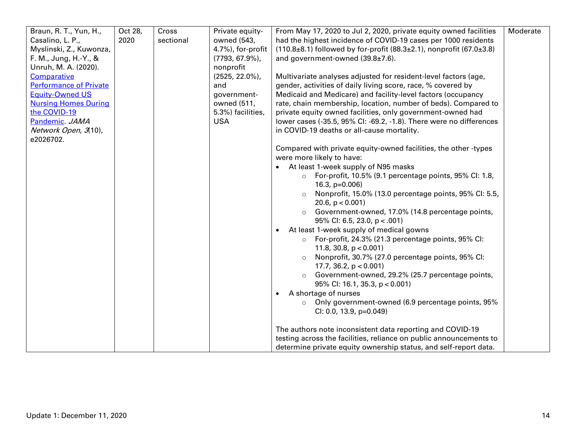| Braun, R. T., Yun, H.,        | Oct 28, | Cross     | Private equity-    | From May 17, 2020 to Jul 2, 2020, private equity owned facilities                | Moderate |
|-------------------------------|---------|-----------|--------------------|----------------------------------------------------------------------------------|----------|
| Casalino, L. P.,              | 2020    | sectional | owned (543,        | had the highest incidence of COVID-19 cases per 1000 residents                   |          |
| Myslinski, Z., Kuwonza,       |         |           | 4.7%), for-profit  | $(110.8\pm8.1)$ followed by for-profit $(88.3\pm2.1)$ , nonprofit $(67.0\pm3.8)$ |          |
| F. M., Jung, H.-Y., &         |         |           | $(7793, 67.9\%),$  | and government-owned (39.8±7.6).                                                 |          |
| Unruh, M. A. (2020).          |         |           | nonprofit          |                                                                                  |          |
| Comparative                   |         |           | $(2525, 22.0\%)$ , | Multivariate analyses adjusted for resident-level factors (age,                  |          |
| <b>Performance of Private</b> |         |           | and                | gender, activities of daily living score, race, % covered by                     |          |
| <b>Equity-Owned US</b>        |         |           | government-        | Medicaid and Medicare) and facility-level factors (occupancy                     |          |
| <b>Nursing Homes During</b>   |         |           | owned (511,        | rate, chain membership, location, number of beds). Compared to                   |          |
| the COVID-19                  |         |           | 5.3%) facilities,  | private equity owned facilities, only government-owned had                       |          |
| Pandemic JAMA                 |         |           | <b>USA</b>         | lower cases (-35.5, 95% CI: -69.2, -1.8). There were no differences              |          |
| Network Open, 3(10),          |         |           |                    | in COVID-19 deaths or all-cause mortality.                                       |          |
| e2026702.                     |         |           |                    |                                                                                  |          |
|                               |         |           |                    | Compared with private equity-owned facilities, the other -types                  |          |
|                               |         |           |                    | were more likely to have:                                                        |          |
|                               |         |           |                    | • At least 1-week supply of N95 masks                                            |          |
|                               |         |           |                    | o For-profit, 10.5% (9.1 percentage points, 95% CI: 1.8,                         |          |
|                               |         |           |                    | 16.3, $p=0.006$ )                                                                |          |
|                               |         |           |                    | Nonprofit, 15.0% (13.0 percentage points, 95% CI: 5.5,                           |          |
|                               |         |           |                    | 20.6, $p < 0.001$ )                                                              |          |
|                               |         |           |                    | Government-owned, 17.0% (14.8 percentage points,                                 |          |
|                               |         |           |                    | 95% CI: 6.5, 23.0, $p < .001$ )                                                  |          |
|                               |         |           |                    | At least 1-week supply of medical gowns<br>$\bullet$                             |          |
|                               |         |           |                    | o For-profit, 24.3% (21.3 percentage points, 95% CI:                             |          |
|                               |         |           |                    | 11.8, 30.8, $p < 0.001$ )                                                        |          |
|                               |         |           |                    | Nonprofit, 30.7% (27.0 percentage points, 95% CI:                                |          |
|                               |         |           |                    | 17.7, 36.2, $p < 0.001$ )                                                        |          |
|                               |         |           |                    | Government-owned, 29.2% (25.7 percentage points,                                 |          |
|                               |         |           |                    | $95\%$ Cl: 16.1, 35.3, p < 0.001)                                                |          |
|                               |         |           |                    | A shortage of nurses<br>$\bullet$                                                |          |
|                               |         |           |                    | o Only government-owned (6.9 percentage points, 95%                              |          |
|                               |         |           |                    | $Cl: 0.0, 13.9, p=0.049$                                                         |          |
|                               |         |           |                    |                                                                                  |          |
|                               |         |           |                    | The authors note inconsistent data reporting and COVID-19                        |          |
|                               |         |           |                    | testing across the facilities, reliance on public announcements to               |          |
|                               |         |           |                    | determine private equity ownership status, and self-report data.                 |          |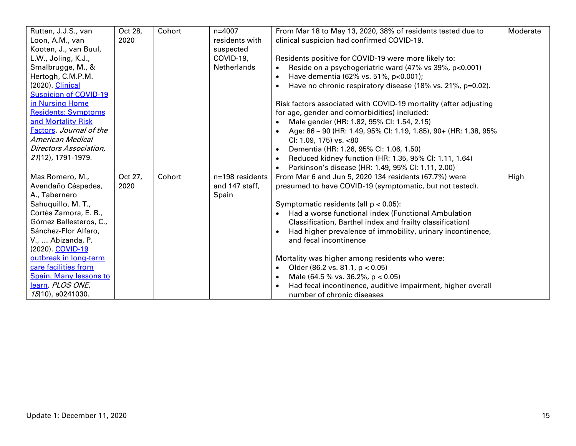| Rutten, J.J.S., van          | Oct 28, | Cohort | $n = 4007$         | From Mar 18 to May 13, 2020, 38% of residents tested due to         | Moderate |
|------------------------------|---------|--------|--------------------|---------------------------------------------------------------------|----------|
| Loon, A.M., van              | 2020    |        | residents with     | clinical suspicion had confirmed COVID-19.                          |          |
| Kooten, J., van Buul,        |         |        | suspected          |                                                                     |          |
| L.W., Joling, K.J.,          |         |        | COVID-19,          |                                                                     |          |
|                              |         |        |                    | Residents positive for COVID-19 were more likely to:                |          |
| Smalbrugge, M., &            |         |        | <b>Netherlands</b> | Reside on a psychogeriatric ward (47% vs 39%, p<0.001)              |          |
| Hertogh, C.M.P.M.            |         |        |                    | Have dementia (62% vs. 51%, p<0.001);                               |          |
| (2020). Clinical             |         |        |                    | Have no chronic respiratory disease (18% vs. 21%, p=0.02).          |          |
| <b>Suspicion of COVID-19</b> |         |        |                    |                                                                     |          |
| in Nursing Home              |         |        |                    | Risk factors associated with COVID-19 mortality (after adjusting    |          |
| <b>Residents: Symptoms</b>   |         |        |                    | for age, gender and comorbidities) included:                        |          |
| and Mortality Risk           |         |        |                    | Male gender (HR: 1.82, 95% CI: 1.54, 2.15)<br>$\bullet$             |          |
| Factors. Journal of the      |         |        |                    | • Age: $86 - 90$ (HR: 1.49, 95% CI: 1.19, 1.85), 90+ (HR: 1.38, 95% |          |
| <b>American Medical</b>      |         |        |                    | CI: 1.09, 175) vs. <80                                              |          |
| Directors Association,       |         |        |                    | Dementia (HR: 1.26, 95% CI: 1.06, 1.50)                             |          |
| 21(12), 1791-1979.           |         |        |                    | Reduced kidney function (HR: 1.35, 95% CI: 1.11, 1.64)<br>$\bullet$ |          |
|                              |         |        |                    | Parkinson's disease (HR: 1.49, 95% CI: 1.11, 2.00)                  |          |
| Mas Romero, M.,              | Oct 27, | Cohort | n=198 residents    | From Mar 6 and Jun 5, 2020 134 residents (67.7%) were               | High     |
| Avendaño Céspedes,           | 2020    |        | and 147 staff,     | presumed to have COVID-19 (symptomatic, but not tested).            |          |
| A., Tabernero                |         |        | Spain              |                                                                     |          |
| Sahuquillo, M. T.,           |         |        |                    | Symptomatic residents (all p < 0.05):                               |          |
| Cortés Zamora, E. B.,        |         |        |                    | Had a worse functional index (Functional Ambulation                 |          |
| Gómez Ballesteros, C.,       |         |        |                    | Classification, Barthel index and frailty classification)           |          |
| Sánchez-Flor Alfaro,         |         |        |                    | Had higher prevalence of immobility, urinary incontinence,          |          |
| V.,  Abizanda, P.            |         |        |                    | and fecal incontinence                                              |          |
| (2020). COVID-19             |         |        |                    |                                                                     |          |
| outbreak in long-term        |         |        |                    | Mortality was higher among residents who were:                      |          |
| care facilities from         |         |        |                    |                                                                     |          |
|                              |         |        |                    | Older (86.2 vs. 81.1, $p < 0.05$ )<br>$\bullet$                     |          |
| Spain. Many lessons to       |         |        |                    | Male (64.5 % vs. 36.2%, $p < 0.05$ )<br>$\bullet$                   |          |
| learn. PLOS ONE,             |         |        |                    | Had fecal incontinence, auditive impairment, higher overall         |          |
| 15(10), e0241030.            |         |        |                    | number of chronic diseases                                          |          |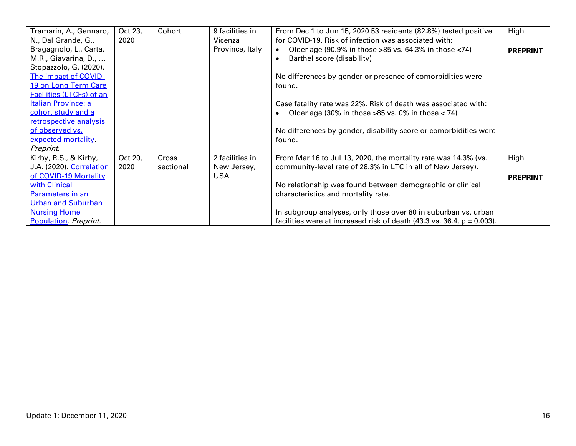| Tramarin, A., Gennaro,<br>N., Dal Grande, G.,                                   | Oct 23,<br>2020 | Cohort             | 9 facilities in<br>Vicenza                   | From Dec 1 to Jun 15, 2020 53 residents (82.8%) tested positive<br>for COVID-19. Risk of infection was associated with:                              | High                    |
|---------------------------------------------------------------------------------|-----------------|--------------------|----------------------------------------------|------------------------------------------------------------------------------------------------------------------------------------------------------|-------------------------|
| Bragagnolo, L., Carta,<br>M.R., Giavarina, D.,<br>Stopazzolo, G. (2020).        |                 |                    | Province, Italy                              | Older age $(90.9\%$ in those >85 vs. 64.3% in those <74)<br>Barthel score (disability)<br>$\bullet$                                                  | <b>PREPRINT</b>         |
| The impact of COVID-<br>19 on Long Term Care<br><b>Facilities (LTCFs) of an</b> |                 |                    |                                              | No differences by gender or presence of comorbidities were<br>found.                                                                                 |                         |
| Italian Province: a<br>cohort study and a                                       |                 |                    |                                              | Case fatality rate was 22%. Risk of death was associated with:<br>Older age (30% in those >85 vs. 0% in those $<$ 74)                                |                         |
| retrospective analysis<br>of observed vs.<br>expected mortality.<br>Preprint.   |                 |                    |                                              | No differences by gender, disability score or comorbidities were<br>found.                                                                           |                         |
| Kirby, R.S., & Kirby,<br>J.A. (2020). Correlation<br>of COVID-19 Mortality      | Oct 20,<br>2020 | Cross<br>sectional | 2 facilities in<br>New Jersey,<br><b>USA</b> | From Mar 16 to Jul 13, 2020, the mortality rate was 14.3% (vs.<br>community-level rate of 28.3% in LTC in all of New Jersey).                        | High<br><b>PREPRINT</b> |
| with Clinical<br>Parameters in an<br><b>Urban and Suburban</b>                  |                 |                    |                                              | No relationship was found between demographic or clinical<br>characteristics and mortality rate.                                                     |                         |
| <b>Nursing Home</b><br><b>Population</b> Preprint.                              |                 |                    |                                              | In subgroup analyses, only those over 80 in suburban vs. urban<br>facilities were at increased risk of death $(43.3 \text{ vs. } 36.4, p = 0.003)$ . |                         |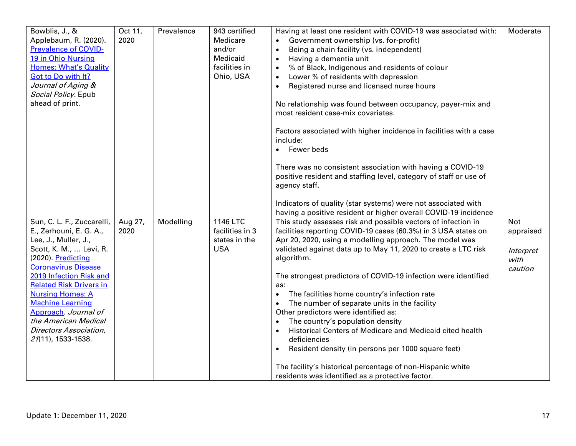| Bowblis, J., &<br>Applebaum, R. (2020).<br><b>Prevalence of COVID-</b><br>19 in Ohio Nursing<br><b>Homes: What's Quality</b><br><b>Got to Do with It?</b><br>Journal of Aging &<br>Social Policy. Epub<br>ahead of print.                            | Oct 11,<br>2020 | Prevalence | 943 certified<br>Medicare<br>and/or<br>Medicaid<br>facilities in<br>Ohio, USA | Having at least one resident with COVID-19 was associated with:<br>Government ownership (vs. for-profit)<br>Being a chain facility (vs. independent)<br>$\bullet$<br>Having a dementia unit<br>$\bullet$<br>% of Black, Indigenous and residents of colour<br>Lower % of residents with depression<br>Registered nurse and licensed nurse hours<br>$\bullet$<br>No relationship was found between occupancy, payer-mix and<br>most resident case-mix covariates.<br>Factors associated with higher incidence in facilities with a case<br>include:<br>Fewer beds<br>There was no consistent association with having a COVID-19<br>positive resident and staffing level, category of staff or use of<br>agency staff.<br>Indicators of quality (star systems) were not associated with | Moderate                                                |
|------------------------------------------------------------------------------------------------------------------------------------------------------------------------------------------------------------------------------------------------------|-----------------|------------|-------------------------------------------------------------------------------|---------------------------------------------------------------------------------------------------------------------------------------------------------------------------------------------------------------------------------------------------------------------------------------------------------------------------------------------------------------------------------------------------------------------------------------------------------------------------------------------------------------------------------------------------------------------------------------------------------------------------------------------------------------------------------------------------------------------------------------------------------------------------------------|---------------------------------------------------------|
| Sun, C. L. F., Zuccarelli,<br>E., Zerhouni, E. G. A.,<br>Lee, J., Muller, J.,<br>Scott, K. M.,  Levi, R.<br>(2020). Predicting<br><b>Coronavirus Disease</b><br>2019 Infection Risk and<br><b>Related Risk Drivers in</b><br><b>Nursing Homes: A</b> | Aug 27,<br>2020 | Modelling  | 1146 LTC<br>facilities in 3<br>states in the<br><b>USA</b>                    | having a positive resident or higher overall COVID-19 incidence<br>This study assesses risk and possible vectors of infection in<br>facilities reporting COVID-19 cases (60.3%) in 3 USA states on<br>Apr 20, 2020, using a modelling approach. The model was<br>validated against data up to May 11, 2020 to create a LTC risk<br>algorithm.<br>The strongest predictors of COVID-19 infection were identified<br>as:<br>The facilities home country's infection rate<br>$\bullet$                                                                                                                                                                                                                                                                                                   | <b>Not</b><br>appraised<br>Interpret<br>with<br>caution |
| <b>Machine Learning</b><br>Approach. Journal of<br>the American Medical<br>Directors Association,<br>21(11), 1533-1538.                                                                                                                              |                 |            |                                                                               | The number of separate units in the facility<br>$\bullet$<br>Other predictors were identified as:<br>The country's population density<br>$\bullet$<br>Historical Centers of Medicare and Medicaid cited health<br>$\bullet$<br>deficiencies<br>Resident density (in persons per 1000 square feet)<br>$\bullet$<br>The facility's historical percentage of non-Hispanic white<br>residents was identified as a protective factor.                                                                                                                                                                                                                                                                                                                                                      |                                                         |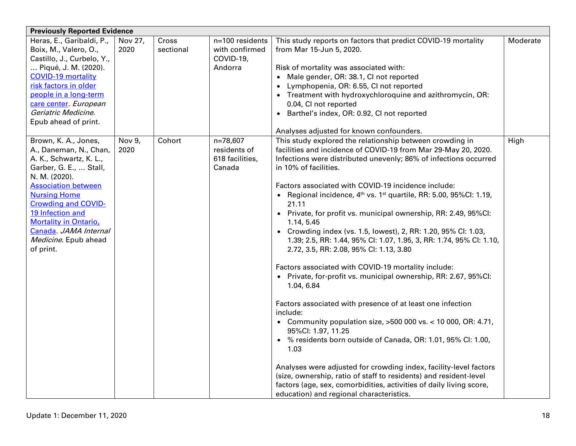| <b>Previously Reported Evidence</b>                |                 |                    |                                   |                                                                                                      |          |  |  |
|----------------------------------------------------|-----------------|--------------------|-----------------------------------|------------------------------------------------------------------------------------------------------|----------|--|--|
| Heras, E., Garibaldi, P.,<br>Boix, M., Valero, O., | Nov 27,<br>2020 | Cross<br>sectional | n=100 residents<br>with confirmed | This study reports on factors that predict COVID-19 mortality<br>from Mar 15-Jun 5, 2020.            | Moderate |  |  |
| Castillo, J., Curbelo, Y.,                         |                 |                    | COVID-19,                         |                                                                                                      |          |  |  |
| Piqué, J. M. (2020).                               |                 |                    | Andorra                           |                                                                                                      |          |  |  |
| <b>COVID-19 mortality</b>                          |                 |                    |                                   | Risk of mortality was associated with:                                                               |          |  |  |
| risk factors in older                              |                 |                    |                                   | • Male gender, OR: 38.1, CI not reported                                                             |          |  |  |
| people in a long-term                              |                 |                    |                                   | Lymphopenia, OR: 6.55, CI not reported                                                               |          |  |  |
| care center. European                              |                 |                    |                                   | • Treatment with hydroxychloroquine and azithromycin, OR:                                            |          |  |  |
| Geriatric Medicine.                                |                 |                    |                                   | 0.04, CI not reported                                                                                |          |  |  |
| Epub ahead of print.                               |                 |                    |                                   | • Barthel's index, OR: 0.92, CI not reported                                                         |          |  |  |
|                                                    |                 |                    |                                   |                                                                                                      |          |  |  |
|                                                    | Nov 9,          | Cohort             | n=78,607                          | Analyses adjusted for known confounders.<br>This study explored the relationship between crowding in | High     |  |  |
| Brown, K. A., Jones,                               | 2020            |                    | residents of                      | facilities and incidence of COVID-19 from Mar 29-May 20, 2020.                                       |          |  |  |
| A., Daneman, N., Chan,                             |                 |                    |                                   |                                                                                                      |          |  |  |
| A. K., Schwartz, K. L.,                            |                 |                    | 618 facilities,<br>Canada         | Infections were distributed unevenly; 86% of infections occurred<br>in 10% of facilities.            |          |  |  |
| Garber, G. E.,  Stall,                             |                 |                    |                                   |                                                                                                      |          |  |  |
| N. M. (2020).<br><b>Association between</b>        |                 |                    |                                   | Factors associated with COVID-19 incidence include:                                                  |          |  |  |
| <b>Nursing Home</b>                                |                 |                    |                                   | • Regional incidence, $4th$ vs. 1 <sup>st</sup> quartile, RR: 5.00, 95%Cl: 1.19,                     |          |  |  |
| <b>Crowding and COVID-</b>                         |                 |                    |                                   | 21.11                                                                                                |          |  |  |
| 19 Infection and                                   |                 |                    |                                   | • Private, for profit vs. municipal ownership, RR: 2.49, 95%CI:                                      |          |  |  |
| <b>Mortality in Ontario,</b>                       |                 |                    |                                   | 1.14, 5.45                                                                                           |          |  |  |
| Canada, JAMA Internal                              |                 |                    |                                   | • Crowding index (vs. 1.5, lowest), 2, RR: 1.20, 95% CI: 1.03,                                       |          |  |  |
| Medicine. Epub ahead                               |                 |                    |                                   | 1.39; 2.5, RR: 1.44, 95% CI: 1.07, 1.95, 3, RR: 1.74, 95% CI: 1.10,                                  |          |  |  |
| of print.                                          |                 |                    |                                   | 2.72, 3.5, RR: 2.08, 95% Cl: 1.13, 3.80                                                              |          |  |  |
|                                                    |                 |                    |                                   |                                                                                                      |          |  |  |
|                                                    |                 |                    |                                   | Factors associated with COVID-19 mortality include:                                                  |          |  |  |
|                                                    |                 |                    |                                   | • Private, for-profit vs. municipal ownership, RR: 2.67, 95%CI:                                      |          |  |  |
|                                                    |                 |                    |                                   | 1.04, 6.84                                                                                           |          |  |  |
|                                                    |                 |                    |                                   | Factors associated with presence of at least one infection                                           |          |  |  |
|                                                    |                 |                    |                                   | include:                                                                                             |          |  |  |
|                                                    |                 |                    |                                   | • Community population size, $>500$ 000 vs. < 10 000, OR: 4.71,                                      |          |  |  |
|                                                    |                 |                    |                                   | 95%Cl: 1.97, 11.25                                                                                   |          |  |  |
|                                                    |                 |                    |                                   | • % residents born outside of Canada, OR: 1.01, 95% CI: 1.00,                                        |          |  |  |
|                                                    |                 |                    |                                   | 1.03                                                                                                 |          |  |  |
|                                                    |                 |                    |                                   | Analyses were adjusted for crowding index, facility-level factors                                    |          |  |  |
|                                                    |                 |                    |                                   | (size, ownership, ratio of staff to residents) and resident-level                                    |          |  |  |
|                                                    |                 |                    |                                   | factors (age, sex, comorbidities, activities of daily living score,                                  |          |  |  |
|                                                    |                 |                    |                                   | education) and regional characteristics.                                                             |          |  |  |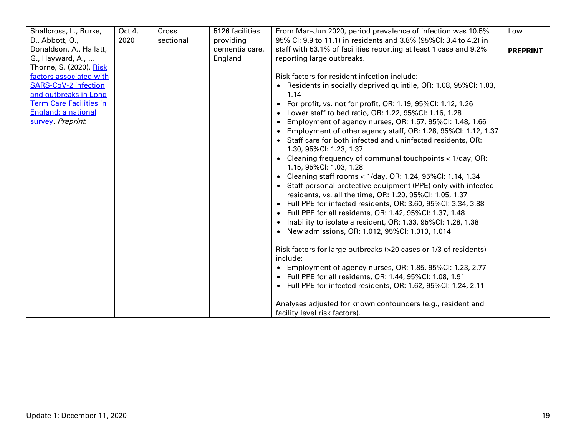| Shallcross, L., Burke,         | Oct 4, | Cross     | 5126 facilities | From Mar-Jun 2020, period prevalence of infection was 10.5%                  | Low             |
|--------------------------------|--------|-----------|-----------------|------------------------------------------------------------------------------|-----------------|
| D., Abbott, O.,                | 2020   | sectional | providing       | 95% CI: 9.9 to 11.1) in residents and 3.8% (95%CI: 3.4 to 4.2) in            |                 |
| Donaldson, A., Hallatt,        |        |           | dementia care,  | staff with 53.1% of facilities reporting at least 1 case and 9.2%            | <b>PREPRINT</b> |
| G., Hayward, A.,               |        |           | England         | reporting large outbreaks.                                                   |                 |
| Thorne, S. (2020). Risk        |        |           |                 |                                                                              |                 |
| factors associated with        |        |           |                 | Risk factors for resident infection include:                                 |                 |
| <b>SARS-CoV-2 infection</b>    |        |           |                 | • Residents in socially deprived quintile, OR: 1.08, 95%CI: 1.03,            |                 |
| and outbreaks in Long          |        |           |                 | 1.14                                                                         |                 |
| <b>Term Care Facilities in</b> |        |           |                 | • For profit, vs. not for profit, OR: 1.19, 95%CI: 1.12, 1.26                |                 |
| England: a national            |        |           |                 | • Lower staff to bed ratio, OR: 1.22, 95%CI: 1.16, 1.28                      |                 |
| survey Preprint.               |        |           |                 | • Employment of agency nurses, OR: 1.57, 95%Cl: 1.48, 1.66                   |                 |
|                                |        |           |                 | • Employment of other agency staff, OR: 1.28, 95%CI: 1.12, 1.37              |                 |
|                                |        |           |                 | • Staff care for both infected and uninfected residents, OR:                 |                 |
|                                |        |           |                 | 1.30, 95%Cl: 1.23, 1.37                                                      |                 |
|                                |        |           |                 | • Cleaning frequency of communal touchpoints < 1/day, OR:                    |                 |
|                                |        |           |                 | 1.15, 95%CI: 1.03, 1.28                                                      |                 |
|                                |        |           |                 | • Cleaning staff rooms < 1/day, OR: 1.24, 95%Cl: 1.14, 1.34                  |                 |
|                                |        |           |                 | • Staff personal protective equipment (PPE) only with infected               |                 |
|                                |        |           |                 | residents, vs. all the time, OR: 1.20, 95%CI: 1.05, 1.37                     |                 |
|                                |        |           |                 | • Full PPE for infected residents, OR: 3.60, 95%CI: 3.34, 3.88               |                 |
|                                |        |           |                 | • Full PPE for all residents, OR: 1.42, 95%Cl: 1.37, 1.48                    |                 |
|                                |        |           |                 | • Inability to isolate a resident, OR: 1.33, 95%CI: 1.28, 1.38               |                 |
|                                |        |           |                 | • New admissions, OR: 1.012, 95%CI: 1.010, 1.014                             |                 |
|                                |        |           |                 |                                                                              |                 |
|                                |        |           |                 | Risk factors for large outbreaks (>20 cases or 1/3 of residents)<br>include: |                 |
|                                |        |           |                 | • Employment of agency nurses, OR: 1.85, 95%Cl: 1.23, 2.77                   |                 |
|                                |        |           |                 | • Full PPE for all residents, OR: 1.44, 95%CI: 1.08, 1.91                    |                 |
|                                |        |           |                 | • Full PPE for infected residents, OR: 1.62, 95%CI: 1.24, 2.11               |                 |
|                                |        |           |                 | Analyses adjusted for known confounders (e.g., resident and                  |                 |
|                                |        |           |                 | facility level risk factors).                                                |                 |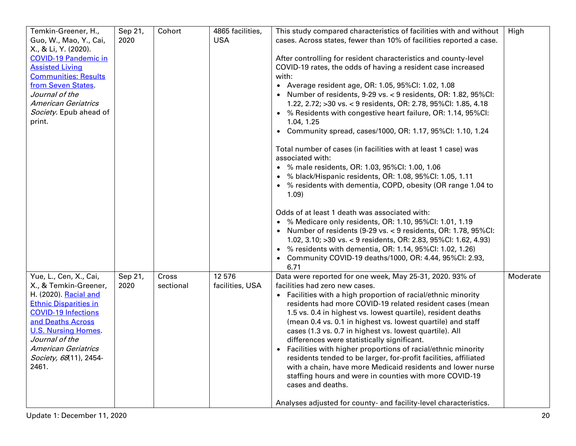| Temkin-Greener, H.,<br>Guo, W., Mao, Y., Cai,  | Sep 21,<br>2020 | Cohort    | 4865 facilities,<br><b>USA</b> | This study compared characteristics of facilities with and without<br>cases. Across states, fewer than 10% of facilities reported a case. | High     |
|------------------------------------------------|-----------------|-----------|--------------------------------|-------------------------------------------------------------------------------------------------------------------------------------------|----------|
| X., & Li, Y. (2020).                           |                 |           |                                |                                                                                                                                           |          |
| <b>COVID-19 Pandemic in</b>                    |                 |           |                                | After controlling for resident characteristics and county-level                                                                           |          |
| <b>Assisted Living</b>                         |                 |           |                                | COVID-19 rates, the odds of having a resident case increased                                                                              |          |
| <b>Communities: Results</b>                    |                 |           |                                | with:                                                                                                                                     |          |
| from Seven States                              |                 |           |                                | • Average resident age, OR: 1.05, 95%Cl: 1.02, 1.08                                                                                       |          |
| Journal of the                                 |                 |           |                                | • Number of residents, 9-29 vs. < 9 residents, OR: 1.82, 95%CI:                                                                           |          |
| <b>American Geriatrics</b>                     |                 |           |                                | 1.22, 2.72; >30 vs. < 9 residents, OR: 2.78, 95%Cl: 1.85, 4.18                                                                            |          |
| Society. Epub ahead of<br>print.               |                 |           |                                | • % Residents with congestive heart failure, OR: 1.14, 95%CI:<br>1.04, 1.25                                                               |          |
|                                                |                 |           |                                | • Community spread, cases/1000, OR: 1.17, 95%CI: 1.10, 1.24                                                                               |          |
|                                                |                 |           |                                | Total number of cases (in facilities with at least 1 case) was<br>associated with:                                                        |          |
|                                                |                 |           |                                | • % male residents, OR: 1.03, 95%Cl: 1.00, 1.06                                                                                           |          |
|                                                |                 |           |                                | • % black/Hispanic residents, OR: 1.08, 95%Cl: 1.05, 1.11                                                                                 |          |
|                                                |                 |           |                                | • % residents with dementia, COPD, obesity (OR range 1.04 to                                                                              |          |
|                                                |                 |           |                                | 1.09)                                                                                                                                     |          |
|                                                |                 |           |                                | Odds of at least 1 death was associated with:                                                                                             |          |
|                                                |                 |           |                                | • % Medicare only residents, OR: 1.10, 95%CI: 1.01, 1.19                                                                                  |          |
|                                                |                 |           |                                | • Number of residents (9-29 vs. < 9 residents, OR: 1.78, 95%CI:                                                                           |          |
|                                                |                 |           |                                | 1.02, 3.10; > 30 vs. < 9 residents, OR: 2.83, 95%Cl: 1.62, 4.93)                                                                          |          |
|                                                |                 |           |                                | • % residents with dementia, OR: 1.14, 95%CI: 1.02, 1.26)                                                                                 |          |
|                                                |                 |           |                                | • Community COVID-19 deaths/1000, OR: 4.44, 95%CI: 2.93,                                                                                  |          |
|                                                |                 |           |                                | 6.71                                                                                                                                      |          |
| Yue, L., Cen, X., Cai,                         | Sep 21,         | Cross     | 12 576                         | Data were reported for one week, May 25-31, 2020. 93% of                                                                                  | Moderate |
| X., & Temkin-Greener,<br>H. (2020). Racial and | 2020            | sectional | facilities, USA                | facilities had zero new cases.                                                                                                            |          |
| <b>Ethnic Disparities in</b>                   |                 |           |                                | • Facilities with a high proportion of racial/ethnic minority<br>residents had more COVID-19 related resident cases (mean                 |          |
| <b>COVID-19 Infections</b>                     |                 |           |                                | 1.5 vs. 0.4 in highest vs. lowest quartile), resident deaths                                                                              |          |
| and Deaths Across                              |                 |           |                                | (mean 0.4 vs. 0.1 in highest vs. lowest quartile) and staff                                                                               |          |
| <b>U.S. Nursing Homes</b>                      |                 |           |                                | cases (1.3 vs. 0.7 in highest vs. lowest quartile). All                                                                                   |          |
| Journal of the                                 |                 |           |                                | differences were statistically significant.                                                                                               |          |
| <b>American Geriatrics</b>                     |                 |           |                                | Facilities with higher proportions of racial/ethnic minority                                                                              |          |
| Society, 68(11), 2454-                         |                 |           |                                | residents tended to be larger, for-profit facilities, affiliated                                                                          |          |
| 2461.                                          |                 |           |                                | with a chain, have more Medicaid residents and lower nurse                                                                                |          |
|                                                |                 |           |                                | staffing hours and were in counties with more COVID-19                                                                                    |          |
|                                                |                 |           |                                | cases and deaths.                                                                                                                         |          |
|                                                |                 |           |                                | Analyses adjusted for county- and facility-level characteristics.                                                                         |          |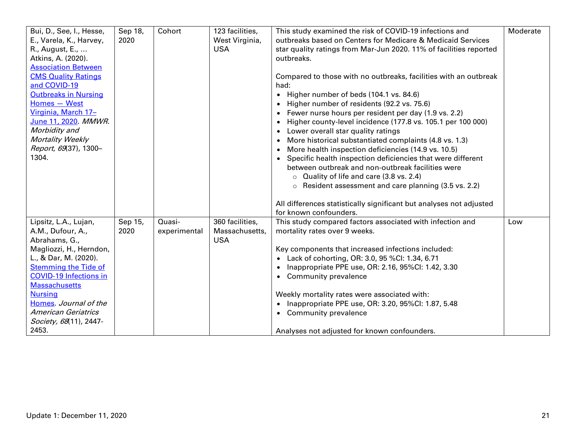| Bui, D., See, I., Hesse,      | Sep 18, | Cohort       | 123 facilities, | This study examined the risk of COVID-19 infections and             | Moderate |
|-------------------------------|---------|--------------|-----------------|---------------------------------------------------------------------|----------|
| E., Varela, K., Harvey,       | 2020    |              | West Virginia,  | outbreaks based on Centers for Medicare & Medicaid Services         |          |
| R., August, E.,               |         |              | <b>USA</b>      | star quality ratings from Mar-Jun 2020. 11% of facilities reported  |          |
| Atkins, A. (2020).            |         |              |                 | outbreaks.                                                          |          |
| <b>Association Between</b>    |         |              |                 |                                                                     |          |
| <b>CMS Quality Ratings</b>    |         |              |                 | Compared to those with no outbreaks, facilities with an outbreak    |          |
| and COVID-19                  |         |              |                 | had:                                                                |          |
| <b>Outbreaks in Nursing</b>   |         |              |                 | • Higher number of beds (104.1 vs. 84.6)                            |          |
| Homes - West                  |         |              |                 | • Higher number of residents (92.2 vs. 75.6)                        |          |
| Virginia, March 17-           |         |              |                 | • Fewer nurse hours per resident per day (1.9 vs. 2.2)              |          |
| June 11, 2020. MMWR.          |         |              |                 | • Higher county-level incidence (177.8 vs. 105.1 per 100 000)       |          |
| Morbidity and                 |         |              |                 | • Lower overall star quality ratings                                |          |
| Mortality Weekly              |         |              |                 | • More historical substantiated complaints (4.8 vs. 1.3)            |          |
| Report, 69(37), 1300-         |         |              |                 | More health inspection deficiencies (14.9 vs. 10.5)<br>$\bullet$    |          |
| 1304.                         |         |              |                 | • Specific health inspection deficiencies that were different       |          |
|                               |         |              |                 | between outbreak and non-outbreak facilities were                   |          |
|                               |         |              |                 | O Quality of life and care (3.8 vs. 2.4)                            |          |
|                               |         |              |                 | $\circ$ Resident assessment and care planning (3.5 vs. 2.2)         |          |
|                               |         |              |                 |                                                                     |          |
|                               |         |              |                 | All differences statistically significant but analyses not adjusted |          |
|                               |         |              |                 | for known confounders.                                              |          |
| Lipsitz, L.A., Lujan,         | Sep 15, | Quasi-       | 360 facilities, | This study compared factors associated with infection and           | Low      |
| A.M., Dufour, A.,             | 2020    | experimental | Massachusetts,  | mortality rates over 9 weeks.                                       |          |
| Abrahams, G.,                 |         |              | <b>USA</b>      |                                                                     |          |
| Magliozzi, H., Herndon,       |         |              |                 | Key components that increased infections included:                  |          |
| L., & Dar, M. (2020).         |         |              |                 | • Lack of cohorting, OR: 3.0, 95 %CI: 1.34, 6.71                    |          |
| <b>Stemming the Tide of</b>   |         |              |                 | • Inappropriate PPE use, OR: 2.16, 95%CI: 1.42, 3.30                |          |
| <b>COVID-19 Infections in</b> |         |              |                 | • Community prevalence                                              |          |
| <b>Massachusetts</b>          |         |              |                 |                                                                     |          |
| <b>Nursing</b>                |         |              |                 | Weekly mortality rates were associated with:                        |          |
| Homes Journal of the          |         |              |                 | • Inappropriate PPE use, OR: 3.20, 95%CI: 1.87, 5.48                |          |
| <b>American Geriatrics</b>    |         |              |                 | • Community prevalence                                              |          |
| Society, 68(11), 2447-        |         |              |                 |                                                                     |          |
| 2453.                         |         |              |                 | Analyses not adjusted for known confounders.                        |          |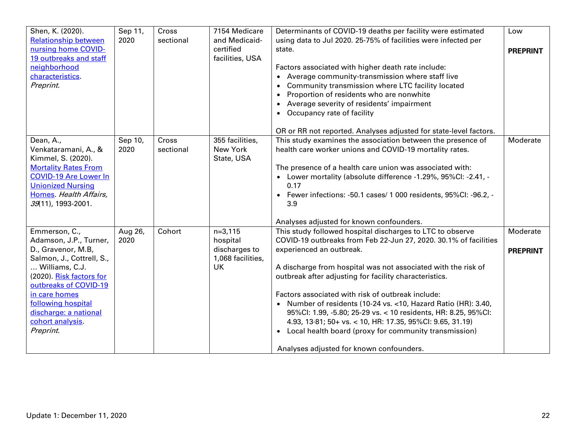| Shen, K. (2020).<br><b>Relationship between</b><br>nursing home COVID-<br>19 outbreaks and staff<br>neighborhood<br>characteristics.<br>Preprint.                                                                                                                  | Sep 11,<br>2020 | Cross<br>sectional | 7154 Medicare<br>and Medicaid-<br>certified<br>facilities, USA    | Determinants of COVID-19 deaths per facility were estimated<br>using data to Jul 2020. 25-75% of facilities were infected per<br>state.<br>Factors associated with higher death rate include:<br>• Average community-transmission where staff live<br>• Community transmission where LTC facility located<br>Proportion of residents who are nonwhite<br>• Average severity of residents' impairment<br>Occupancy rate of facility<br>$\bullet$<br>OR or RR not reported. Analyses adjusted for state-level factors.                                                                                                                               | Low<br><b>PREPRINT</b>      |
|--------------------------------------------------------------------------------------------------------------------------------------------------------------------------------------------------------------------------------------------------------------------|-----------------|--------------------|-------------------------------------------------------------------|----------------------------------------------------------------------------------------------------------------------------------------------------------------------------------------------------------------------------------------------------------------------------------------------------------------------------------------------------------------------------------------------------------------------------------------------------------------------------------------------------------------------------------------------------------------------------------------------------------------------------------------------------|-----------------------------|
| Dean, A.,<br>Venkataramani, A., &<br>Kimmel, S. (2020).<br><b>Mortality Rates From</b><br><b>COVID-19 Are Lower In</b><br><b>Unionized Nursing</b><br>Homes Health Affairs,<br>39(11), 1993-2001.                                                                  | Sep 10,<br>2020 | Cross<br>sectional | 355 facilities,<br>New York<br>State, USA                         | This study examines the association between the presence of<br>health care worker unions and COVID-19 mortality rates.<br>The presence of a health care union was associated with:<br>• Lower mortality (absolute difference -1.29%, 95%CI: -2.41, -<br>0.17<br>• Fewer infections: -50.1 cases/ 1 000 residents, 95%Cl: -96.2, -<br>3.9<br>Analyses adjusted for known confounders.                                                                                                                                                                                                                                                               | Moderate                    |
| Emmerson, C.,<br>Adamson, J.P., Turner,<br>D., Gravenor, M.B,<br>Salmon, J., Cottrell, S.,<br>Williams, C.J.<br>(2020). Risk factors for<br>outbreaks of COVID-19<br>in care homes<br>following hospital<br>discharge: a national<br>cohort analysis.<br>Preprint. | Aug 26,<br>2020 | Cohort             | $n=3,115$<br>hospital<br>discharges to<br>1,068 facilities,<br>UK | This study followed hospital discharges to LTC to observe<br>COVID-19 outbreaks from Feb 22-Jun 27, 2020. 30.1% of facilities<br>experienced an outbreak.<br>A discharge from hospital was not associated with the risk of<br>outbreak after adjusting for facility characteristics.<br>Factors associated with risk of outbreak include:<br>• Number of residents (10-24 vs. < 10, Hazard Ratio (HR): 3.40,<br>95%Cl: 1.99, -5.80; 25-29 vs. < 10 residents, HR: 8.25, 95%Cl:<br>4.93, 13.81; 50+ vs. < 10, HR: 17.35, 95%CI: 9.65, 31.19)<br>• Local health board (proxy for community transmission)<br>Analyses adjusted for known confounders. | Moderate<br><b>PREPRINT</b> |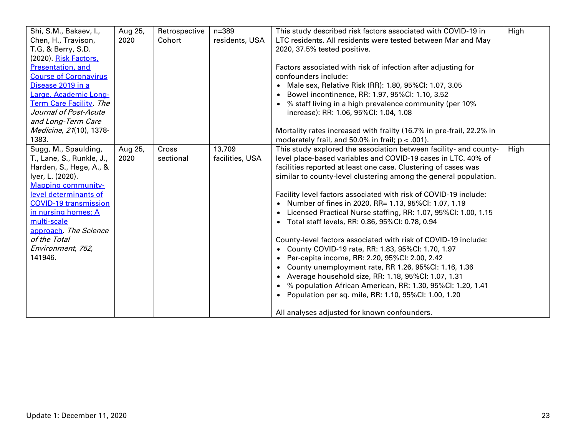| Shi, S.M., Bakaev, I.,         | Aug 25, | Retrospective | $n = 389$       | This study described risk factors associated with COVID-19 in        | High |
|--------------------------------|---------|---------------|-----------------|----------------------------------------------------------------------|------|
| Chen, H., Travison,            | 2020    | Cohort        | residents, USA  | LTC residents. All residents were tested between Mar and May         |      |
| T.G, & Berry, S.D.             |         |               |                 | 2020, 37.5% tested positive.                                         |      |
| (2020). Risk Factors,          |         |               |                 |                                                                      |      |
| <b>Presentation, and</b>       |         |               |                 | Factors associated with risk of infection after adjusting for        |      |
| <b>Course of Coronavirus</b>   |         |               |                 | confounders include:                                                 |      |
| Disease 2019 in a              |         |               |                 | • Male sex, Relative Risk (RR): 1.80, 95%CI: 1.07, 3.05              |      |
| Large, Academic Long-          |         |               |                 | • Bowel incontinence, RR: 1.97, 95%Cl: 1.10, 3.52                    |      |
| <b>Term Care Facility. The</b> |         |               |                 | • % staff living in a high prevalence community (per 10%             |      |
| Journal of Post-Acute          |         |               |                 | increase): RR: 1.06, 95%Cl: 1.04, 1.08                               |      |
| and Long-Term Care             |         |               |                 |                                                                      |      |
| Medicine, 21(10), 1378-        |         |               |                 | Mortality rates increased with frailty (16.7% in pre-frail, 22.2% in |      |
| 1383.                          |         |               |                 | moderately frail, and 50.0% in frail; $p < .001$ ).                  |      |
| Sugg, M., Spaulding,           | Aug 25, | Cross         | 13,709          | This study explored the association between facility- and county-    | High |
| T., Lane, S., Runkle, J.,      | 2020    | sectional     | facilities, USA | level place-based variables and COVID-19 cases in LTC. 40% of        |      |
| Harden, S., Hege, A., &        |         |               |                 | facilities reported at least one case. Clustering of cases was       |      |
| lyer, L. (2020).               |         |               |                 | similar to county-level clustering among the general population.     |      |
| <b>Mapping community-</b>      |         |               |                 |                                                                      |      |
| level determinants of          |         |               |                 | Facility level factors associated with risk of COVID-19 include:     |      |
| <b>COVID-19 transmission</b>   |         |               |                 | • Number of fines in 2020, RR= 1.13, 95%CI: 1.07, 1.19               |      |
| in nursing homes: A            |         |               |                 | • Licensed Practical Nurse staffing, RR: 1.07, 95%CI: 1.00, 1.15     |      |
| multi-scale                    |         |               |                 | • Total staff levels, RR: 0.86, 95%CI: 0.78, 0.94                    |      |
| approach. The Science          |         |               |                 |                                                                      |      |
| of the Total                   |         |               |                 | County-level factors associated with risk of COVID-19 include:       |      |
| Environment, 752,              |         |               |                 | • County COVID-19 rate, RR: 1.83, 95%CI: 1.70, 1.97                  |      |
| 141946.                        |         |               |                 | • Per-capita income, RR: 2.20, 95%CI: 2.00, 2.42                     |      |
|                                |         |               |                 | • County unemployment rate, RR 1.26, 95%CI: 1.16, 1.36               |      |
|                                |         |               |                 | • Average household size, RR: 1.18, 95%Cl: 1.07, 1.31                |      |
|                                |         |               |                 | • % population African American, RR: 1.30, 95%CI: 1.20, 1.41         |      |
|                                |         |               |                 | • Population per sq. mile, RR: 1.10, 95%CI: 1.00, 1.20               |      |
|                                |         |               |                 |                                                                      |      |
|                                |         |               |                 | All analyses adjusted for known confounders.                         |      |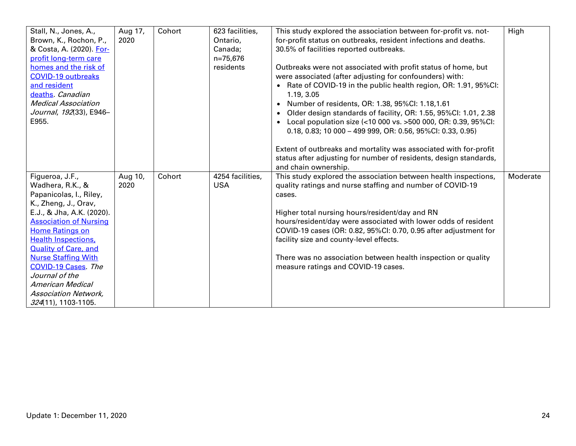| Stall, N., Jones, A.,<br>Brown, K., Rochon, P.,<br>& Costa, A. (2020). For-<br>profit long-term care<br>homes and the risk of<br><b>COVID-19 outbreaks</b><br>and resident<br>deaths Canadian<br><b>Medical Association</b><br>Journal, 192(33), E946-<br>E955.                                                                                                                                           | Aug 17,<br>2020 | Cohort | 623 facilities,<br>Ontario,<br>Canada;<br>n=75,676<br>residents | This study explored the association between for-profit vs. not-<br>for-profit status on outbreaks, resident infections and deaths.<br>30.5% of facilities reported outbreaks.<br>Outbreaks were not associated with profit status of home, but<br>were associated (after adjusting for confounders) with:<br>• Rate of COVID-19 in the public health region, OR: 1.91, 95%CI:<br>1.19, 3.05<br>Number of residents, OR: 1.38, 95%CI: 1.18,1.61<br>• Older design standards of facility, OR: 1.55, 95%CI: 1.01, 2.38<br>Local population size (<10 000 vs. >500 000, OR: 0.39, 95%CI:<br>$0.18, 0.83; 10000 - 49999, OR: 0.56, 95\% CI: 0.33, 0.95)$<br>Extent of outbreaks and mortality was associated with for-profit | High     |
|-----------------------------------------------------------------------------------------------------------------------------------------------------------------------------------------------------------------------------------------------------------------------------------------------------------------------------------------------------------------------------------------------------------|-----------------|--------|-----------------------------------------------------------------|-------------------------------------------------------------------------------------------------------------------------------------------------------------------------------------------------------------------------------------------------------------------------------------------------------------------------------------------------------------------------------------------------------------------------------------------------------------------------------------------------------------------------------------------------------------------------------------------------------------------------------------------------------------------------------------------------------------------------|----------|
|                                                                                                                                                                                                                                                                                                                                                                                                           |                 |        |                                                                 | status after adjusting for number of residents, design standards,<br>and chain ownership.                                                                                                                                                                                                                                                                                                                                                                                                                                                                                                                                                                                                                               |          |
| Figueroa, J.F.,<br>Wadhera, R.K., &<br>Papanicolas, I., Riley,<br>K., Zheng, J., Orav,<br>E.J., & Jha, A.K. (2020).<br><b>Association of Nursing</b><br><b>Home Ratings on</b><br><b>Health Inspections,</b><br><b>Quality of Care, and</b><br><b>Nurse Staffing With</b><br><b>COVID-19 Cases</b> The<br>Journal of the<br><b>American Medical</b><br><b>Association Network,</b><br>324(11), 1103-1105. | Aug 10,<br>2020 | Cohort | 4254 facilities,<br><b>USA</b>                                  | This study explored the association between health inspections,<br>quality ratings and nurse staffing and number of COVID-19<br>cases.<br>Higher total nursing hours/resident/day and RN<br>hours/resident/day were associated with lower odds of resident<br>COVID-19 cases (OR: 0.82, 95%CI: 0.70, 0.95 after adjustment for<br>facility size and county-level effects.<br>There was no association between health inspection or quality<br>measure ratings and COVID-19 cases.                                                                                                                                                                                                                                       | Moderate |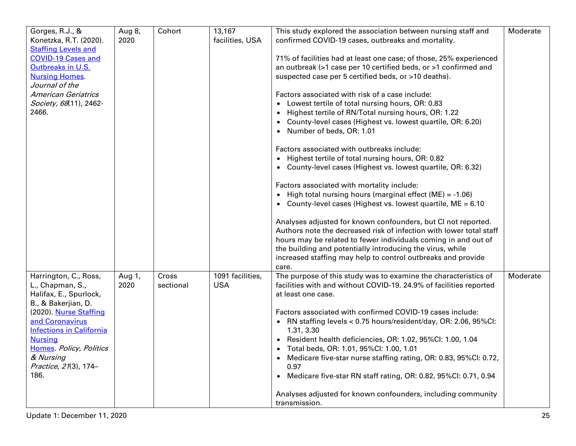| Gorges, R.J., &<br>Konetzka, R.T. (2020).<br><b>Staffing Levels and</b><br><b>COVID-19 Cases and</b><br>Outbreaks in U.S.<br><b>Nursing Homes</b><br>Journal of the<br><b>American Geriatrics</b><br>Society, 68(11), 2462-<br>2466.                                  | Aug 8,<br>2020 | Cohort             | 13,167<br>facilities, USA      | This study explored the association between nursing staff and<br>confirmed COVID-19 cases, outbreaks and mortality.<br>71% of facilities had at least one case; of those, 25% experienced<br>an outbreak (>1 case per 10 certified beds, or >1 confirmed and<br>suspected case per 5 certified beds, or >10 deaths).<br>Factors associated with risk of a case include:<br>• Lowest tertile of total nursing hours, OR: 0.83<br>• Highest tertile of RN/Total nursing hours, OR: 1.22<br>• County-level cases (Highest vs. lowest quartile, OR: 6.20)<br>• Number of beds, OR: 1.01<br>Factors associated with outbreaks include:<br>• Highest tertile of total nursing hours, OR: 0.82<br>• County-level cases (Highest vs. lowest quartile, OR: 6.32)<br>Factors associated with mortality include:<br>• High total nursing hours (marginal effect $(ME) = -1.06$ )<br>• County-level cases (Highest vs. lowest quartile, $ME = 6.10$<br>Analyses adjusted for known confounders, but CI not reported.<br>Authors note the decreased risk of infection with lower total staff<br>hours may be related to fewer individuals coming in and out of<br>the building and potentially introducing the virus, while<br>increased staffing may help to control outbreaks and provide<br>care. | Moderate |
|-----------------------------------------------------------------------------------------------------------------------------------------------------------------------------------------------------------------------------------------------------------------------|----------------|--------------------|--------------------------------|-----------------------------------------------------------------------------------------------------------------------------------------------------------------------------------------------------------------------------------------------------------------------------------------------------------------------------------------------------------------------------------------------------------------------------------------------------------------------------------------------------------------------------------------------------------------------------------------------------------------------------------------------------------------------------------------------------------------------------------------------------------------------------------------------------------------------------------------------------------------------------------------------------------------------------------------------------------------------------------------------------------------------------------------------------------------------------------------------------------------------------------------------------------------------------------------------------------------------------------------------------------------------------------------|----------|
| Harrington, C., Ross,<br>L., Chapman, S.,<br>Halifax, E., Spurlock,<br>B., & Bakerjian, D.<br>(2020). Nurse Staffing<br>and Coronavirus<br><b>Infections in California</b><br><b>Nursing</b><br>Homes. Policy, Politics<br>& Nursing<br>Practice, 21(3), 174-<br>186. | Aug 1,<br>2020 | Cross<br>sectional | 1091 facilities,<br><b>USA</b> | The purpose of this study was to examine the characteristics of<br>facilities with and without COVID-19. 24.9% of facilities reported<br>at least one case.<br>Factors associated with confirmed COVID-19 cases include:<br>• RN staffing levels < 0.75 hours/resident/day, OR: 2.06, 95%CI:<br>1.31, 3.30<br>• Resident health deficiencies, OR: 1.02, 95%Cl: 1.00, 1.04<br>• Total beds, OR: 1.01, 95%Cl: 1.00, 1.01<br>Medicare five-star nurse staffing rating, OR: 0.83, 95%CI: 0.72,<br>0.97<br>Medicare five-star RN staff rating, OR: 0.82, 95%CI: 0.71, 0.94<br>$\bullet$<br>Analyses adjusted for known confounders, including community<br>transmission.                                                                                                                                                                                                                                                                                                                                                                                                                                                                                                                                                                                                                     | Moderate |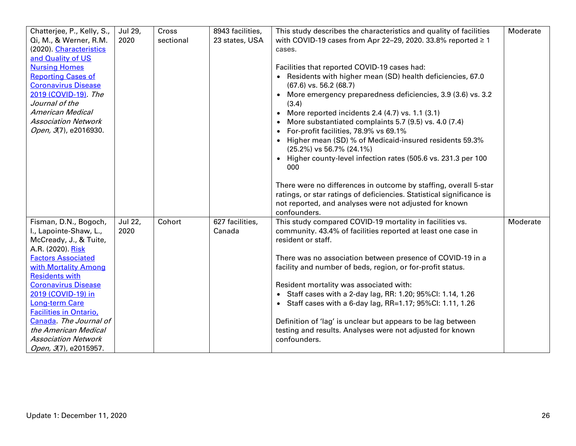| Chatterjee, P., Kelly, S.,<br>Qi, M., & Werner, R.M. | Jul 29,<br>2020 | Cross<br>sectional | 8943 facilities,<br>23 states, USA | This study describes the characteristics and quality of facilities<br>with COVID-19 cases from Apr 22-29, 2020. 33.8% reported $\geq 1$ | Moderate |
|------------------------------------------------------|-----------------|--------------------|------------------------------------|-----------------------------------------------------------------------------------------------------------------------------------------|----------|
| (2020). Characteristics                              |                 |                    |                                    | cases.                                                                                                                                  |          |
| and Quality of US                                    |                 |                    |                                    |                                                                                                                                         |          |
| <b>Nursing Homes</b>                                 |                 |                    |                                    | Facilities that reported COVID-19 cases had:                                                                                            |          |
| <b>Reporting Cases of</b>                            |                 |                    |                                    | • Residents with higher mean (SD) health deficiencies, 67.0                                                                             |          |
| <b>Coronavirus Disease</b>                           |                 |                    |                                    | $(67.6)$ vs. 56.2 $(68.7)$                                                                                                              |          |
| 2019 (COVID-19) The                                  |                 |                    |                                    | More emergency preparedness deficiencies, 3.9 (3.6) vs. 3.2                                                                             |          |
| Journal of the                                       |                 |                    |                                    | (3.4)                                                                                                                                   |          |
| <b>American Medical</b>                              |                 |                    |                                    | • More reported incidents 2.4 $(4.7)$ vs. 1.1 $(3.1)$                                                                                   |          |
| <b>Association Network</b>                           |                 |                    |                                    | • More substantiated complaints 5.7 (9.5) vs. 4.0 (7.4)                                                                                 |          |
| Open, 3(7), e2016930.                                |                 |                    |                                    | • For-profit facilities, 78.9% vs 69.1%                                                                                                 |          |
|                                                      |                 |                    |                                    | • Higher mean (SD) % of Medicaid-insured residents 59.3%                                                                                |          |
|                                                      |                 |                    |                                    | (25.2%) vs 56.7% (24.1%)                                                                                                                |          |
|                                                      |                 |                    |                                    | • Higher county-level infection rates (505.6 vs. 231.3 per 100                                                                          |          |
|                                                      |                 |                    |                                    | 000                                                                                                                                     |          |
|                                                      |                 |                    |                                    | There were no differences in outcome by staffing, overall 5-star                                                                        |          |
|                                                      |                 |                    |                                    | ratings, or star ratings of deficiencies. Statistical significance is                                                                   |          |
|                                                      |                 |                    |                                    | not reported, and analyses were not adjusted for known                                                                                  |          |
|                                                      |                 |                    |                                    | confounders.                                                                                                                            |          |
| Fisman, D.N., Bogoch,                                | Jul 22,         | Cohort             | 627 facilities,                    | This study compared COVID-19 mortality in facilities vs.                                                                                | Moderate |
| I., Lapointe-Shaw, L.,                               | 2020            |                    | Canada                             | community. 43.4% of facilities reported at least one case in                                                                            |          |
| McCready, J., & Tuite,                               |                 |                    |                                    | resident or staff.                                                                                                                      |          |
| A.R. (2020). Risk                                    |                 |                    |                                    |                                                                                                                                         |          |
| <b>Factors Associated</b>                            |                 |                    |                                    | There was no association between presence of COVID-19 in a                                                                              |          |
| with Mortality Among                                 |                 |                    |                                    | facility and number of beds, region, or for-profit status.                                                                              |          |
| <b>Residents with</b>                                |                 |                    |                                    |                                                                                                                                         |          |
| <b>Coronavirus Disease</b>                           |                 |                    |                                    | Resident mortality was associated with:                                                                                                 |          |
| 2019 (COVID-19) in                                   |                 |                    |                                    | • Staff cases with a 2-day lag, RR: 1.20; 95%Cl: 1.14, 1.26                                                                             |          |
| <b>Long-term Care</b>                                |                 |                    |                                    | • Staff cases with a 6-day lag, RR=1.17; 95%Cl: 1.11, 1.26                                                                              |          |
| <b>Facilities in Ontario</b> ,                       |                 |                    |                                    |                                                                                                                                         |          |
| Canada. The Journal of<br>the American Medical       |                 |                    |                                    | Definition of 'lag' is unclear but appears to be lag between<br>testing and results. Analyses were not adjusted for known               |          |
| <b>Association Network</b>                           |                 |                    |                                    | confounders.                                                                                                                            |          |
| Open, 3(7), e2015957.                                |                 |                    |                                    |                                                                                                                                         |          |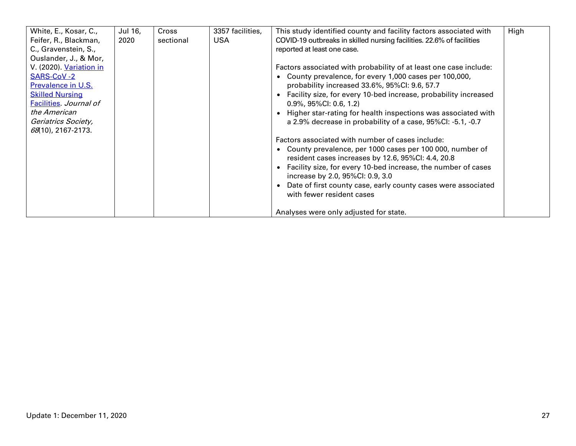| White, E., Kosar, C.,<br>Feifer, R., Blackman,<br>C., Gravenstein, S.,<br>Ouslander, J., & Mor,<br>V. (2020). Variation in<br><b>SARS-CoV -2</b><br><b>Prevalence in U.S.</b><br><b>Skilled Nursing</b><br><b>Facilities. Journal of</b><br>the American<br>Geriatrics Society,<br>$68(10)$ , 2167-2173. | Jul 16,<br>2020 | Cross<br>sectional | 3357 facilities,<br><b>USA</b> | This study identified county and facility factors associated with<br>COVID-19 outbreaks in skilled nursing facilities. 22.6% of facilities<br>reported at least one case.<br>Factors associated with probability of at least one case include:<br>• County prevalence, for every 1,000 cases per 100,000,<br>probability increased 33.6%, 95%CI: 9.6, 57.7<br>• Facility size, for every 10-bed increase, probability increased<br>$0.9\%$ , 95%Cl: 0.6, 1.2)<br>• Higher star-rating for health inspections was associated with<br>a 2.9% decrease in probability of a case, 95%Cl: -5.1, -0.7<br>Factors associated with number of cases include:<br>• County prevalence, per 1000 cases per 100 000, number of<br>resident cases increases by 12.6, 95%CI: 4.4, 20.8<br>• Facility size, for every 10-bed increase, the number of cases<br>increase by 2.0, 95%CI: 0.9, 3.0<br>• Date of first county case, early county cases were associated | High |
|----------------------------------------------------------------------------------------------------------------------------------------------------------------------------------------------------------------------------------------------------------------------------------------------------------|-----------------|--------------------|--------------------------------|---------------------------------------------------------------------------------------------------------------------------------------------------------------------------------------------------------------------------------------------------------------------------------------------------------------------------------------------------------------------------------------------------------------------------------------------------------------------------------------------------------------------------------------------------------------------------------------------------------------------------------------------------------------------------------------------------------------------------------------------------------------------------------------------------------------------------------------------------------------------------------------------------------------------------------------------------|------|
|                                                                                                                                                                                                                                                                                                          |                 |                    |                                | with fewer resident cases<br>Analyses were only adjusted for state.                                                                                                                                                                                                                                                                                                                                                                                                                                                                                                                                                                                                                                                                                                                                                                                                                                                                               |      |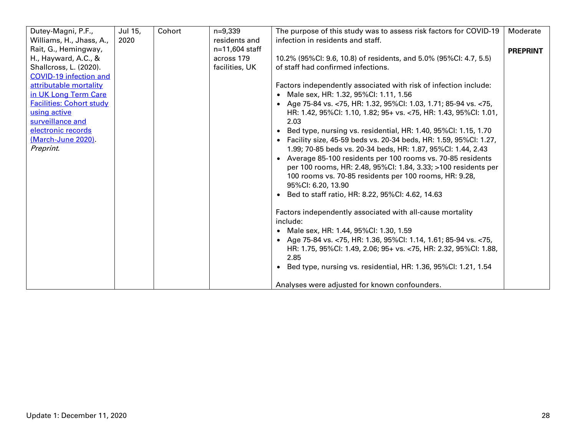| Dutey-Magni, P.F.,<br>Williams, H., Jhass, A., | Jul 15,<br>2020 | Cohort | $n=9,339$<br>residents and | The purpose of this study was to assess risk factors for COVID-19<br>infection in residents and staff. | Moderate        |
|------------------------------------------------|-----------------|--------|----------------------------|--------------------------------------------------------------------------------------------------------|-----------------|
| Rait, G., Hemingway,                           |                 |        | n=11,604 staff             |                                                                                                        | <b>PREPRINT</b> |
| H., Hayward, A.C., &                           |                 |        | across 179                 | 10.2% (95%Cl: 9.6, 10.8) of residents, and 5.0% (95%Cl: 4.7, 5.5)                                      |                 |
| Shallcross, L. (2020).                         |                 |        | facilities, UK             | of staff had confirmed infections.                                                                     |                 |
| <b>COVID-19 infection and</b>                  |                 |        |                            |                                                                                                        |                 |
| attributable mortality                         |                 |        |                            | Factors independently associated with risk of infection include:                                       |                 |
| in UK Long Term Care                           |                 |        |                            | • Male sex, HR: 1.32, 95%Cl: 1.11, 1.56                                                                |                 |
| <b>Facilities: Cohort study</b>                |                 |        |                            | • Age 75-84 vs. <75, HR: 1.32, 95%CI: 1.03, 1.71; 85-94 vs. <75,                                       |                 |
| using active                                   |                 |        |                            | HR: 1.42, 95%Cl: 1.10, 1.82; 95+ vs. <75, HR: 1.43, 95%Cl: 1.01,                                       |                 |
| surveillance and                               |                 |        |                            | 2.03                                                                                                   |                 |
| electronic records                             |                 |        |                            | Bed type, nursing vs. residential, HR: 1.40, 95%Cl: 1.15, 1.70<br>$\bullet$                            |                 |
| (March-June 2020).                             |                 |        |                            | • Facility size, 45-59 beds vs. 20-34 beds, HR: 1.59, 95%Cl: 1.27,                                     |                 |
| Preprint.                                      |                 |        |                            | 1.99; 70-85 beds vs. 20-34 beds, HR: 1.87, 95%CI: 1.44, 2.43                                           |                 |
|                                                |                 |        |                            | • Average 85-100 residents per 100 rooms vs. 70-85 residents                                           |                 |
|                                                |                 |        |                            | per 100 rooms, HR: 2.48, 95%CI: 1.84, 3.33; >100 residents per                                         |                 |
|                                                |                 |        |                            | 100 rooms vs. 70-85 residents per 100 rooms, HR: 9.28,                                                 |                 |
|                                                |                 |        |                            | 95%CI: 6.20, 13.90                                                                                     |                 |
|                                                |                 |        |                            | • Bed to staff ratio, HR: 8.22, 95%CI: 4.62, 14.63                                                     |                 |
|                                                |                 |        |                            |                                                                                                        |                 |
|                                                |                 |        |                            | Factors independently associated with all-cause mortality<br>include:                                  |                 |
|                                                |                 |        |                            | • Male sex, HR: 1.44, 95%Cl: 1.30, 1.59                                                                |                 |
|                                                |                 |        |                            | • Age 75-84 vs. <75, HR: 1.36, 95%Cl: 1.14, 1.61; 85-94 vs. <75,                                       |                 |
|                                                |                 |        |                            | HR: 1.75, 95%Cl: 1.49, 2.06; 95+ vs. <75, HR: 2.32, 95%Cl: 1.88,                                       |                 |
|                                                |                 |        |                            | 2.85                                                                                                   |                 |
|                                                |                 |        |                            | • Bed type, nursing vs. residential, HR: 1.36, 95%CI: 1.21, 1.54                                       |                 |
|                                                |                 |        |                            |                                                                                                        |                 |
|                                                |                 |        |                            | Analyses were adjusted for known confounders.                                                          |                 |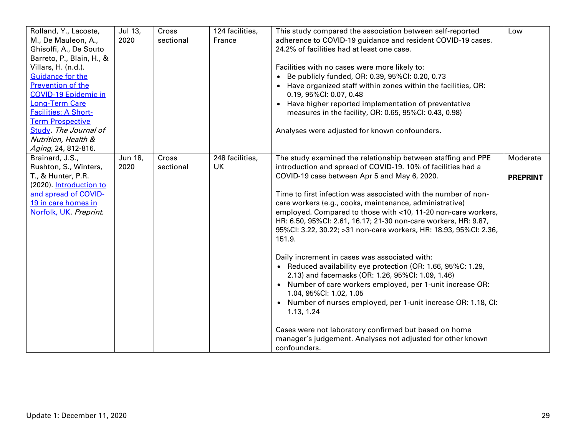| Rolland, Y., Lacoste,<br>M., De Mauleon, A.,<br>Ghisolfi, A., De Souto<br>Barreto, P., Blain, H., &<br>Villars, H. (n.d.).<br><b>Guidance for the</b><br><b>Prevention of the</b><br><b>COVID-19 Epidemic in</b><br>Long-Term Care<br><b>Facilities: A Short-</b><br><b>Term Prospective</b><br>Study. The Journal of<br>Nutrition, Health &<br>Aging, 24, 812-816. | Jul 13,<br>2020 | Cross<br>sectional | 124 facilities,<br>France    | This study compared the association between self-reported<br>adherence to COVID-19 guidance and resident COVID-19 cases.<br>24.2% of facilities had at least one case.<br>Facilities with no cases were more likely to:<br>• Be publicly funded, OR: 0.39, 95%CI: 0.20, 0.73<br>• Have organized staff within zones within the facilities, OR:<br>0.19, 95%Cl: 0.07, 0.48<br>• Have higher reported implementation of preventative<br>measures in the facility, OR: 0.65, 95%CI: 0.43, 0.98)<br>Analyses were adjusted for known confounders.                                                                                                                                                                                                                                                                                                                                                                                                                                                                      | Low                         |
|---------------------------------------------------------------------------------------------------------------------------------------------------------------------------------------------------------------------------------------------------------------------------------------------------------------------------------------------------------------------|-----------------|--------------------|------------------------------|--------------------------------------------------------------------------------------------------------------------------------------------------------------------------------------------------------------------------------------------------------------------------------------------------------------------------------------------------------------------------------------------------------------------------------------------------------------------------------------------------------------------------------------------------------------------------------------------------------------------------------------------------------------------------------------------------------------------------------------------------------------------------------------------------------------------------------------------------------------------------------------------------------------------------------------------------------------------------------------------------------------------|-----------------------------|
| Brainard, J.S.,<br>Rushton, S., Winters,<br>T., & Hunter, P.R.<br>(2020). Introduction to<br>and spread of COVID-<br>19 in care homes in<br>Norfolk, UK. Preprint.                                                                                                                                                                                                  | Jun 18,<br>2020 | Cross<br>sectional | 248 facilities,<br><b>UK</b> | The study examined the relationship between staffing and PPE<br>introduction and spread of COVID-19. 10% of facilities had a<br>COVID-19 case between Apr 5 and May 6, 2020.<br>Time to first infection was associated with the number of non-<br>care workers (e.g., cooks, maintenance, administrative)<br>employed. Compared to those with <10, 11-20 non-care workers,<br>HR: 6.50, 95%Cl: 2.61, 16.17; 21-30 non-care workers, HR: 9.87,<br>95%Cl: 3.22, 30.22; >31 non-care workers, HR: 18.93, 95%Cl: 2.36,<br>151.9.<br>Daily increment in cases was associated with:<br>• Reduced availability eye protection (OR: 1.66, 95%C: 1.29,<br>2.13) and facemasks (OR: 1.26, 95%CI: 1.09, 1.46)<br>• Number of care workers employed, per 1-unit increase OR:<br>1.04, 95%CI: 1.02, 1.05<br>• Number of nurses employed, per 1-unit increase OR: 1.18, CI:<br>1.13, 1.24<br>Cases were not laboratory confirmed but based on home<br>manager's judgement. Analyses not adjusted for other known<br>confounders. | Moderate<br><b>PREPRINT</b> |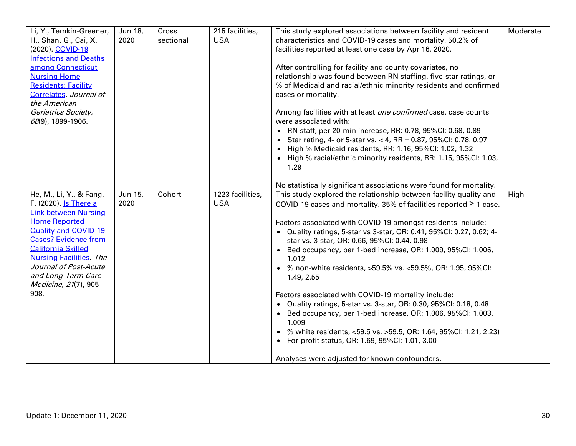| Li, Y., Temkin-Greener,<br>H., Shan, G., Cai, X.<br>(2020). COVID-19<br><b>Infections and Deaths</b><br>among Connecticut<br><b>Nursing Home</b><br><b>Residents: Facility</b><br>Correlates. Journal of<br>the American<br>Geriatrics Society,<br>68(9), 1899-1906.                                                | Jun 18,<br>2020 | Cross<br>sectional | 215 facilities,<br><b>USA</b>  | This study explored associations between facility and resident<br>characteristics and COVID-19 cases and mortality. 50.2% of<br>facilities reported at least one case by Apr 16, 2020.<br>After controlling for facility and county covariates, no<br>relationship was found between RN staffing, five-star ratings, or<br>% of Medicaid and racial/ethnic minority residents and confirmed<br>cases or mortality.<br>Among facilities with at least one confirmed case, case counts<br>were associated with:<br>• RN staff, per 20-min increase, RR: 0.78, 95%CI: 0.68, 0.89<br>• Star rating, 4- or 5-star vs. < 4, RR = 0.87, 95%CI: 0.78. 0.97<br>• High % Medicaid residents, RR: 1.16, 95%CI: 1.02, 1.32<br>• High % racial/ethnic minority residents, RR: 1.15, 95%CI: 1.03,<br>1.29<br>No statistically significant associations were found for mortality.         | Moderate |
|---------------------------------------------------------------------------------------------------------------------------------------------------------------------------------------------------------------------------------------------------------------------------------------------------------------------|-----------------|--------------------|--------------------------------|----------------------------------------------------------------------------------------------------------------------------------------------------------------------------------------------------------------------------------------------------------------------------------------------------------------------------------------------------------------------------------------------------------------------------------------------------------------------------------------------------------------------------------------------------------------------------------------------------------------------------------------------------------------------------------------------------------------------------------------------------------------------------------------------------------------------------------------------------------------------------|----------|
| He, M., Li, Y., & Fang,<br>F. (2020). Is There a<br><b>Link between Nursing</b><br><b>Home Reported</b><br><b>Quality and COVID-19</b><br><b>Cases? Evidence from</b><br><b>California Skilled</b><br><b>Nursing Facilities</b> The<br>Journal of Post-Acute<br>and Long-Term Care<br>Medicine, 21(7), 905-<br>908. | Jun 15,<br>2020 | Cohort             | 1223 facilities,<br><b>USA</b> | This study explored the relationship between facility quality and<br>COVID-19 cases and mortality. 35% of facilities reported $\geq$ 1 case.<br>Factors associated with COVID-19 amongst residents include:<br>• Quality ratings, 5-star vs 3-star, OR: 0.41, 95%Cl: 0.27, 0.62; 4-<br>star vs. 3-star, OR: 0.66, 95%CI: 0.44, 0.98<br>• Bed occupancy, per 1-bed increase, OR: 1.009, 95%Cl: 1.006,<br>1.012<br>• % non-white residents, >59.5% vs. <59.5%, OR: 1.95, 95%CI:<br>1.49, 2.55<br>Factors associated with COVID-19 mortality include:<br>• Quality ratings, 5-star vs. 3-star, OR: 0.30, 95%CI: 0.18, 0.48<br>Bed occupancy, per 1-bed increase, OR: 1.006, 95%CI: 1.003,<br>1.009<br>• % white residents, <59.5 vs. >59.5, OR: 1.64, 95%CI: 1.21, 2.23)<br>• For-profit status, OR: 1.69, 95%Cl: 1.01, 3.00<br>Analyses were adjusted for known confounders. | High     |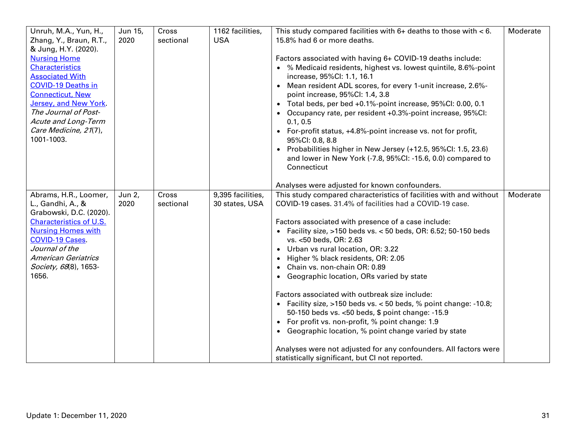| Unruh, M.A., Yun, H.,<br>Zhang, Y., Braun, R.T.,<br>& Jung, H.Y. (2020).<br><b>Nursing Home</b><br><b>Characteristics</b><br><b>Associated With</b><br><b>COVID-19 Deaths in</b><br><b>Connecticut, New</b><br>Jersey, and New York.<br>The Journal of Post-<br>Acute and Long-Term<br>Care Medicine, 21(7),<br>1001-1003. | Jun 15,<br>2020 | Cross<br>sectional | 1162 facilities,<br><b>USA</b>      | This study compared facilities with $6+$ deaths to those with $< 6$ .<br>15.8% had 6 or more deaths.<br>Factors associated with having 6+ COVID-19 deaths include:<br>• % Medicaid residents, highest vs. lowest quintile, 8.6%-point<br>increase, 95%Cl: 1.1, 16.1<br>• Mean resident ADL scores, for every 1-unit increase, 2.6%-<br>point increase, 95%Cl: 1.4, 3.8<br>• Total beds, per bed +0.1%-point increase, 95%CI: 0.00, 0.1<br>Occupancy rate, per resident +0.3%-point increase, 95%CI:<br>0.1, 0.5<br>• For-profit status, +4.8%-point increase vs. not for profit,<br>95%CI: 0.8, 8.8<br>Probabilities higher in New Jersey (+12.5, 95%CI: 1.5, 23.6)<br>$\bullet$<br>and lower in New York (-7.8, 95%Cl: -15.6, 0.0) compared to<br>Connecticut                                                                                                                                                      | Moderate |
|----------------------------------------------------------------------------------------------------------------------------------------------------------------------------------------------------------------------------------------------------------------------------------------------------------------------------|-----------------|--------------------|-------------------------------------|---------------------------------------------------------------------------------------------------------------------------------------------------------------------------------------------------------------------------------------------------------------------------------------------------------------------------------------------------------------------------------------------------------------------------------------------------------------------------------------------------------------------------------------------------------------------------------------------------------------------------------------------------------------------------------------------------------------------------------------------------------------------------------------------------------------------------------------------------------------------------------------------------------------------|----------|
| Abrams, H.R., Loomer,<br>L., Gandhi, A., &<br>Grabowski, D.C. (2020).<br><b>Characteristics of U.S.</b><br><b>Nursing Homes with</b><br><b>COVID-19 Cases</b> .<br>Journal of the<br><b>American Geriatrics</b><br>Society, 68(8), 1653-<br>1656.                                                                          | Jun 2,<br>2020  | Cross<br>sectional | 9,395 facilities,<br>30 states, USA | Analyses were adjusted for known confounders.<br>This study compared characteristics of facilities with and without<br>COVID-19 cases. 31.4% of facilities had a COVID-19 case.<br>Factors associated with presence of a case include:<br>• Facility size, $>150$ beds vs. < 50 beds, OR: 6.52; 50-150 beds<br>vs. <50 beds, OR: 2.63<br>• Urban vs rural location, OR: 3.22<br>Higher % black residents, OR: 2.05<br>Chain vs. non-chain OR: 0.89<br>• Geographic location, ORs varied by state<br>Factors associated with outbreak size include:<br>• Facility size, $>150$ beds vs. $< 50$ beds, % point change: -10.8;<br>50-150 beds vs. < 50 beds, \$ point change: -15.9<br>• For profit vs. non-profit, % point change: 1.9<br>• Geographic location, % point change varied by state<br>Analyses were not adjusted for any confounders. All factors were<br>statistically significant, but CI not reported. | Moderate |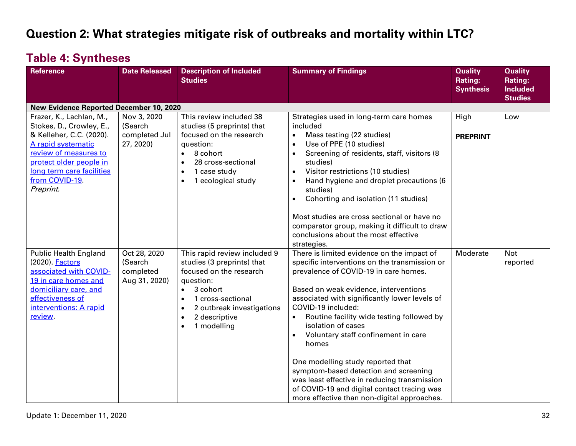## **Question 2: What strategies mitigate risk of outbreaks and mortality within LTC?**

## **Table 4: Syntheses**

| <b>Reference</b>                                                                                                                                                                                                       | <b>Date Released</b>                                  | <b>Description of Included</b><br><b>Studies</b>                                                                                                                                                                                                                  | <b>Summary of Findings</b>                                                                                                                                                                                                                                                                                                                                                                                                                                                                                                                                                                                       | <b>Quality</b><br>Rating:<br><b>Synthesis</b> | <b>Quality</b><br>Rating:<br><b>Included</b><br><b>Studies</b> |
|------------------------------------------------------------------------------------------------------------------------------------------------------------------------------------------------------------------------|-------------------------------------------------------|-------------------------------------------------------------------------------------------------------------------------------------------------------------------------------------------------------------------------------------------------------------------|------------------------------------------------------------------------------------------------------------------------------------------------------------------------------------------------------------------------------------------------------------------------------------------------------------------------------------------------------------------------------------------------------------------------------------------------------------------------------------------------------------------------------------------------------------------------------------------------------------------|-----------------------------------------------|----------------------------------------------------------------|
| <b>New Evidence Reported December 10, 2020</b>                                                                                                                                                                         |                                                       |                                                                                                                                                                                                                                                                   |                                                                                                                                                                                                                                                                                                                                                                                                                                                                                                                                                                                                                  |                                               |                                                                |
| Frazer, K., Lachlan, M.,<br>Stokes, D., Crowley, E.,<br>& Kelleher, C.C. (2020).<br>A rapid systematic<br>review of measures to<br>protect older people in<br>long term care facilities<br>from COVID-19.<br>Preprint. | Nov 3, 2020<br>(Search<br>completed Jul<br>27, 2020)  | This review included 38<br>studies (5 preprints) that<br>focused on the research<br>question:<br>8 cohort<br>$\bullet$<br>28 cross-sectional<br>$\bullet$<br>1 case study<br>$\bullet$<br>1 ecological study<br>$\bullet$                                         | Strategies used in long-term care homes<br>included<br>Mass testing (22 studies)<br>$\bullet$<br>Use of PPE (10 studies)<br>$\bullet$<br>Screening of residents, staff, visitors (8)<br>$\bullet$<br>studies)<br>Visitor restrictions (10 studies)<br>$\bullet$<br>Hand hygiene and droplet precautions (6<br>$\bullet$<br>studies)<br>Cohorting and isolation (11 studies)<br>$\bullet$<br>Most studies are cross sectional or have no<br>comparator group, making it difficult to draw<br>conclusions about the most effective<br>strategies.                                                                  | High<br><b>PREPRINT</b>                       | Low                                                            |
| <b>Public Health England</b><br>(2020). <b>Factors</b><br>associated with COVID-<br>19 in care homes and<br>domiciliary care, and<br>effectiveness of<br>interventions: A rapid<br><b>review</b>                       | Oct 28, 2020<br>(Search<br>completed<br>Aug 31, 2020) | This rapid review included 9<br>studies (3 preprints) that<br>focused on the research<br>question:<br>3 cohort<br>$\bullet$<br>1 cross-sectional<br>$\bullet$<br>2 outbreak investigations<br>$\bullet$<br>2 descriptive<br>$\bullet$<br>1 modelling<br>$\bullet$ | There is limited evidence on the impact of<br>specific interventions on the transmission or<br>prevalence of COVID-19 in care homes.<br>Based on weak evidence, interventions<br>associated with significantly lower levels of<br>COVID-19 included:<br>Routine facility wide testing followed by<br>$\bullet$<br>isolation of cases<br>Voluntary staff confinement in care<br>homes<br>One modelling study reported that<br>symptom-based detection and screening<br>was least effective in reducing transmission<br>of COVID-19 and digital contact tracing was<br>more effective than non-digital approaches. | Moderate                                      | <b>Not</b><br>reported                                         |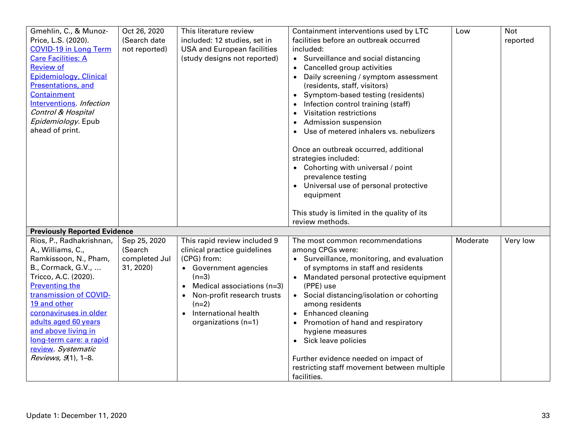| Gmehlin, C., & Munoz-<br>Price, L.S. (2020).<br><b>COVID-19 in Long Term</b><br><b>Care Facilities: A</b><br><b>Review of</b><br>Epidemiology, Clinical<br>Presentations, and<br><b>Containment</b><br>Interventions. Infection<br>Control & Hospital<br>Epidemiology. Epub<br>ahead of print.                                           | Oct 26, 2020<br>(Search date<br>not reported)         | This literature review<br>included: 12 studies, set in<br><b>USA and European facilities</b><br>(study designs not reported)                                                                                                                                                 | Containment interventions used by LTC<br>facilities before an outbreak occurred<br>included:<br>• Surveillance and social distancing<br>Cancelled group activities<br>$\bullet$<br>Daily screening / symptom assessment<br>(residents, staff, visitors)<br>Symptom-based testing (residents)<br>Infection control training (staff)<br>Visitation restrictions<br>$\bullet$<br><b>Admission suspension</b><br>$\bullet$<br>Use of metered inhalers vs. nebulizers<br>Once an outbreak occurred, additional<br>strategies included:<br>• Cohorting with universal / point<br>prevalence testing<br>• Universal use of personal protective<br>equipment | Low      | <b>Not</b><br>reported |
|------------------------------------------------------------------------------------------------------------------------------------------------------------------------------------------------------------------------------------------------------------------------------------------------------------------------------------------|-------------------------------------------------------|------------------------------------------------------------------------------------------------------------------------------------------------------------------------------------------------------------------------------------------------------------------------------|------------------------------------------------------------------------------------------------------------------------------------------------------------------------------------------------------------------------------------------------------------------------------------------------------------------------------------------------------------------------------------------------------------------------------------------------------------------------------------------------------------------------------------------------------------------------------------------------------------------------------------------------------|----------|------------------------|
|                                                                                                                                                                                                                                                                                                                                          |                                                       |                                                                                                                                                                                                                                                                              | This study is limited in the quality of its<br>review methods.                                                                                                                                                                                                                                                                                                                                                                                                                                                                                                                                                                                       |          |                        |
| <b>Previously Reported Evidence</b>                                                                                                                                                                                                                                                                                                      |                                                       |                                                                                                                                                                                                                                                                              |                                                                                                                                                                                                                                                                                                                                                                                                                                                                                                                                                                                                                                                      |          |                        |
| Rios, P., Radhakrishnan,<br>A., Williams, C.,<br>Ramkissoon, N., Pham,<br>B., Cormack, G.V.,<br>Tricco, A.C. (2020).<br><b>Preventing the</b><br>transmission of COVID-<br>19 and other<br>coronaviruses in older<br>adults aged 60 years<br>and above living in<br>long-term care: a rapid<br>review. Systematic<br>Reviews, 9(1), 1-8. | Sep 25, 2020<br>(Search<br>completed Jul<br>31, 2020) | This rapid review included 9<br>clinical practice guidelines<br>(CPG) from:<br>• Government agencies<br>$(n=3)$<br>Medical associations (n=3)<br>$\bullet$<br>Non-profit research trusts<br>$\bullet$<br>$(n=2)$<br>International health<br>$\bullet$<br>organizations (n=1) | The most common recommendations<br>among CPGs were:<br>• Surveillance, monitoring, and evaluation<br>of symptoms in staff and residents<br>Mandated personal protective equipment<br>(PPE) use<br>• Social distancing/isolation or cohorting<br>among residents<br><b>Enhanced cleaning</b><br>Promotion of hand and respiratory<br>$\bullet$<br>hygiene measures<br>• Sick leave policies<br>Further evidence needed on impact of<br>restricting staff movement between multiple<br>facilities.                                                                                                                                                     | Moderate | Very low               |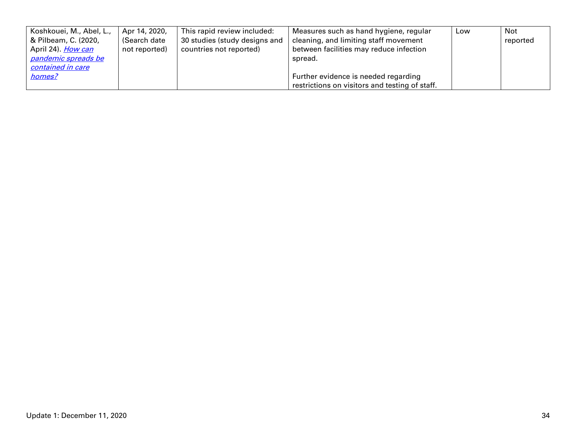| Koshkouei, M., Abel, L.,   | Apr 14, 2020, | This rapid review included:   | Measures such as hand hygiene, regular         | Low | Not      |
|----------------------------|---------------|-------------------------------|------------------------------------------------|-----|----------|
| & Pilbeam, C. (2020,       | (Search date  | 30 studies (study designs and | cleaning, and limiting staff movement          |     | reported |
| April 24). <i>How can</i>  | not reported) | countries not reported)       | between facilities may reduce infection        |     |          |
| <u>pandemic spreads be</u> |               |                               | spread.                                        |     |          |
| contained in care          |               |                               |                                                |     |          |
| homes?                     |               |                               | Further evidence is needed regarding           |     |          |
|                            |               |                               | restrictions on visitors and testing of staff. |     |          |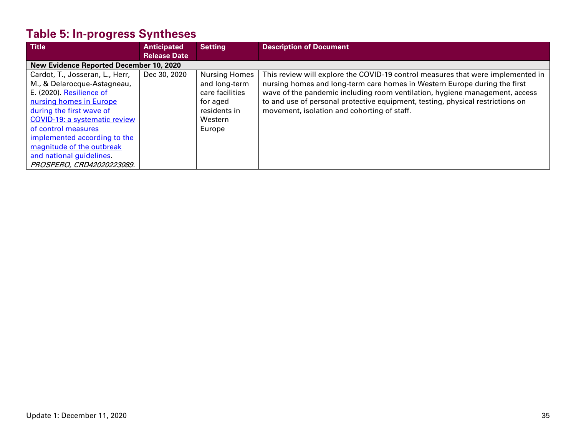# **Table 5: In-progress Syntheses**

| <b>Title</b>                                   | <b>Anticipated</b>  | <b>Setting</b>       | <b>Description of Document</b>                                                  |
|------------------------------------------------|---------------------|----------------------|---------------------------------------------------------------------------------|
|                                                | <b>Release Date</b> |                      |                                                                                 |
| <b>New Evidence Reported December 10, 2020</b> |                     |                      |                                                                                 |
| Cardot, T., Josseran, L., Herr,                | Dec 30, 2020        | <b>Nursing Homes</b> | This review will explore the COVID-19 control measures that were implemented in |
| M., & Delarocque-Astagneau,                    |                     | and long-term        | nursing homes and long-term care homes in Western Europe during the first       |
| E. (2020). Resilience of                       |                     | care facilities      | wave of the pandemic including room ventilation, hygiene management, access     |
| nursing homes in Europe                        |                     | for aged             | to and use of personal protective equipment, testing, physical restrictions on  |
| during the first wave of                       |                     | residents in         | movement, isolation and cohorting of staff.                                     |
| <b>COVID-19: a systematic review</b>           |                     | Western              |                                                                                 |
| of control measures                            |                     | Europe               |                                                                                 |
| implemented according to the                   |                     |                      |                                                                                 |
| magnitude of the outbreak                      |                     |                      |                                                                                 |
| and national guidelines                        |                     |                      |                                                                                 |
| PROSPERO, CRD42020223089.                      |                     |                      |                                                                                 |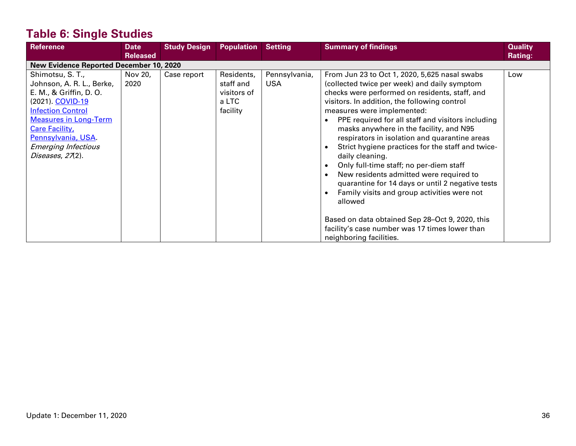# **Table 6: Single Studies**

| <b>Reference</b>                                                                                                                                                                                                                                           | <b>Date</b><br><b>Released</b> | <b>Study Design</b> | <b>Population</b>                                           | <b>Setting</b>              | <b>Summary of findings</b>                                                                                                                                                                                                                                                                                                                                                                                                                                                                                                                                                                                                                                                                                                                                                                 | <b>Quality</b><br><b>Rating:</b> |
|------------------------------------------------------------------------------------------------------------------------------------------------------------------------------------------------------------------------------------------------------------|--------------------------------|---------------------|-------------------------------------------------------------|-----------------------------|--------------------------------------------------------------------------------------------------------------------------------------------------------------------------------------------------------------------------------------------------------------------------------------------------------------------------------------------------------------------------------------------------------------------------------------------------------------------------------------------------------------------------------------------------------------------------------------------------------------------------------------------------------------------------------------------------------------------------------------------------------------------------------------------|----------------------------------|
| <b>New Evidence Reported December 10, 2020</b>                                                                                                                                                                                                             |                                |                     |                                                             |                             |                                                                                                                                                                                                                                                                                                                                                                                                                                                                                                                                                                                                                                                                                                                                                                                            |                                  |
| Shimotsu, S. T.,<br>Johnson, A. R. L., Berke,<br>E. M., & Griffin, D. O.<br>(2021). COVID-19<br><b>Infection Control</b><br><b>Measures in Long-Term</b><br><b>Care Facility</b> ,<br>Pennsylvania, USA.<br><b>Emerging Infectious</b><br>Diseases, 27(2). | Nov 20,<br>2020                | Case report         | Residents,<br>staff and<br>visitors of<br>a LTC<br>facility | Pennsylvania,<br><b>USA</b> | From Jun 23 to Oct 1, 2020, 5,625 nasal swabs<br>(collected twice per week) and daily symptom<br>checks were performed on residents, staff, and<br>visitors. In addition, the following control<br>measures were implemented:<br>PPE required for all staff and visitors including<br>masks anywhere in the facility, and N95<br>respirators in isolation and quarantine areas<br>Strict hygiene practices for the staff and twice-<br>daily cleaning.<br>Only full-time staff; no per-diem staff<br>New residents admitted were required to<br>quarantine for 14 days or until 2 negative tests<br>Family visits and group activities were not<br>allowed<br>Based on data obtained Sep 28-Oct 9, 2020, this<br>facility's case number was 17 times lower than<br>neighboring facilities. | Low                              |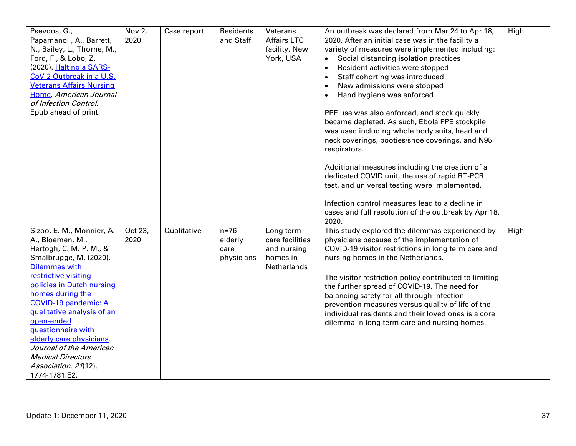| Psevdos, G.,<br>Papamanoli, A., Barrett,<br>N., Bailey, L., Thorne, M.,<br>Ford, F., & Lobo, Z.<br>(2020). Halting a SARS-<br>CoV-2 Outbreak in a U.S.<br><b>Veterans Affairs Nursing</b><br>Home. American Journal<br>of Infection Control.<br>Epub ahead of print.                                                                                                                                                             | Nov 2,<br>2020  | Case report | Residents<br>and Staff                  | Veterans<br><b>Affairs LTC</b><br>facility, New<br>York, USA           | An outbreak was declared from Mar 24 to Apr 18,<br>2020. After an initial case was in the facility a<br>variety of measures were implemented including:<br>Social distancing isolation practices<br>Resident activities were stopped<br>$\bullet$<br>Staff cohorting was introduced<br>New admissions were stopped<br>Hand hygiene was enforced<br>PPE use was also enforced, and stock quickly<br>became depleted. As such, Ebola PPE stockpile<br>was used including whole body suits, head and<br>neck coverings, booties/shoe coverings, and N95<br>respirators.<br>Additional measures including the creation of a<br>dedicated COVID unit, the use of rapid RT-PCR<br>test, and universal testing were implemented.<br>Infection control measures lead to a decline in | High |
|----------------------------------------------------------------------------------------------------------------------------------------------------------------------------------------------------------------------------------------------------------------------------------------------------------------------------------------------------------------------------------------------------------------------------------|-----------------|-------------|-----------------------------------------|------------------------------------------------------------------------|------------------------------------------------------------------------------------------------------------------------------------------------------------------------------------------------------------------------------------------------------------------------------------------------------------------------------------------------------------------------------------------------------------------------------------------------------------------------------------------------------------------------------------------------------------------------------------------------------------------------------------------------------------------------------------------------------------------------------------------------------------------------------|------|
| Sizoo, E. M., Monnier, A.<br>A., Bloemen, M.,<br>Hertogh, C. M. P. M., &<br>Smalbrugge, M. (2020).<br><b>Dilemmas with</b><br>restrictive visiting<br>policies in Dutch nursing<br>homes during the<br><b>COVID-19 pandemic: A</b><br>qualitative analysis of an<br>open-ended<br>guestionnaire with<br>elderly care physicians.<br>Journal of the American<br><b>Medical Directors</b><br>Association, 21(12),<br>1774-1781.E2. | Oct 23,<br>2020 | Qualitative | $n=76$<br>elderly<br>care<br>physicians | Long term<br>care facilities<br>and nursing<br>homes in<br>Netherlands | cases and full resolution of the outbreak by Apr 18,<br>2020.<br>This study explored the dilemmas experienced by<br>physicians because of the implementation of<br>COVID-19 visitor restrictions in long term care and<br>nursing homes in the Netherlands.<br>The visitor restriction policy contributed to limiting<br>the further spread of COVID-19. The need for<br>balancing safety for all through infection<br>prevention measures versus quality of life of the<br>individual residents and their loved ones is a core<br>dilemma in long term care and nursing homes.                                                                                                                                                                                              | High |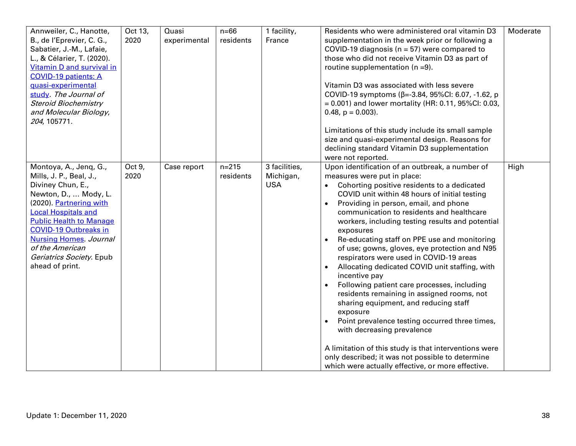| Annweiler, C., Hanotte,<br>B., de l'Eprevier, C. G.,<br>Sabatier, J.-M., Lafaie,<br>L., & Célarier, T. (2020).<br>Vitamin D and survival in<br><b>COVID-19 patients: A</b><br>quasi-experimental<br>study. The Journal of<br><b>Steroid Biochemistry</b><br>and Molecular Biology,<br>204, 105771.                             | Oct 13,<br>2020 | Quasi<br>experimental | $n=66$<br>residents    | 1 facility,<br>France                    | Residents who were administered oral vitamin D3<br>supplementation in the week prior or following a<br>COVID-19 diagnosis ( $n = 57$ ) were compared to<br>those who did not receive Vitamin D3 as part of<br>routine supplementation ( $n = 9$ ).<br>Vitamin D3 was associated with less severe<br>COVID-19 symptoms ( $\beta$ =-3.84, 95%CI: 6.07, -1.62, p<br>$= 0.001$ ) and lower mortality (HR: 0.11, 95%CI: 0.03,<br>$0.48$ , $p = 0.003$ ).<br>Limitations of this study include its small sample<br>size and quasi-experimental design. Reasons for<br>declining standard Vitamin D3 supplementation<br>were not reported.                                                                                                                                                                                                                                                                                                                      | Moderate |
|--------------------------------------------------------------------------------------------------------------------------------------------------------------------------------------------------------------------------------------------------------------------------------------------------------------------------------|-----------------|-----------------------|------------------------|------------------------------------------|----------------------------------------------------------------------------------------------------------------------------------------------------------------------------------------------------------------------------------------------------------------------------------------------------------------------------------------------------------------------------------------------------------------------------------------------------------------------------------------------------------------------------------------------------------------------------------------------------------------------------------------------------------------------------------------------------------------------------------------------------------------------------------------------------------------------------------------------------------------------------------------------------------------------------------------------------------|----------|
| Montoya, A., Jenq, G.,<br>Mills, J. P., Beal, J.,<br>Diviney Chun, E.,<br>Newton, D.,  Mody, L.<br>(2020). Partnering with<br><b>Local Hospitals and</b><br><b>Public Health to Manage</b><br><b>COVID-19 Outbreaks in</b><br><b>Nursing Homes</b> . Journal<br>of the American<br>Geriatrics Society. Epub<br>ahead of print. | Oct 9,<br>2020  | Case report           | $n = 215$<br>residents | 3 facilities,<br>Michigan,<br><b>USA</b> | Upon identification of an outbreak, a number of<br>measures were put in place:<br>Cohorting positive residents to a dedicated<br>COVID unit within 48 hours of initial testing<br>Providing in person, email, and phone<br>communication to residents and healthcare<br>workers, including testing results and potential<br>exposures<br>Re-educating staff on PPE use and monitoring<br>of use; gowns, gloves, eye protection and N95<br>respirators were used in COVID-19 areas<br>Allocating dedicated COVID unit staffing, with<br>incentive pay<br>Following patient care processes, including<br>residents remaining in assigned rooms, not<br>sharing equipment, and reducing staff<br>exposure<br>Point prevalence testing occurred three times,<br>with decreasing prevalence<br>A limitation of this study is that interventions were<br>only described; it was not possible to determine<br>which were actually effective, or more effective. | High     |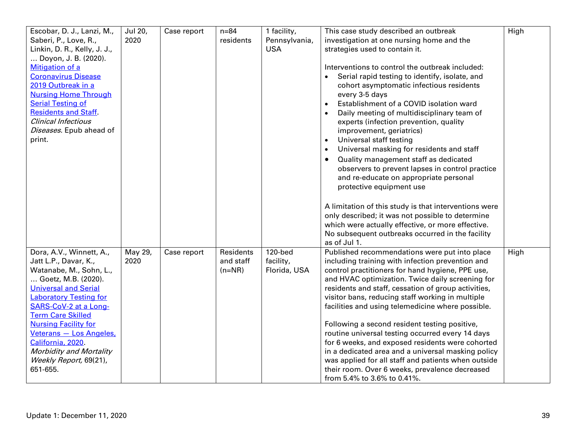| Escobar, D. J., Lanzi, M.,<br>Saberi, P., Love, R.,<br>Linkin, D. R., Kelly, J. J.,                                                                                                                                                                                                                                                                                             | Jul 20,<br>2020 | Case report | $n = 84$<br>residents              | 1 facility,<br>Pennsylvania,<br><b>USA</b> | This case study described an outbreak<br>investigation at one nursing home and the<br>strategies used to contain it.                                                                                                                                                                                                                                                                                                                                                                                                                                                                                                                                                                                                             | High |
|---------------------------------------------------------------------------------------------------------------------------------------------------------------------------------------------------------------------------------------------------------------------------------------------------------------------------------------------------------------------------------|-----------------|-------------|------------------------------------|--------------------------------------------|----------------------------------------------------------------------------------------------------------------------------------------------------------------------------------------------------------------------------------------------------------------------------------------------------------------------------------------------------------------------------------------------------------------------------------------------------------------------------------------------------------------------------------------------------------------------------------------------------------------------------------------------------------------------------------------------------------------------------------|------|
| Doyon, J. B. (2020).<br>Mitigation of a<br><b>Coronavirus Disease</b><br>2019 Outbreak in a<br><b>Nursing Home Through</b><br><b>Serial Testing of</b><br><b>Residents and Staff.</b><br><b>Clinical Infectious</b><br>Diseases. Epub ahead of<br>print.                                                                                                                        |                 |             |                                    |                                            | Interventions to control the outbreak included:<br>Serial rapid testing to identify, isolate, and<br>cohort asymptomatic infectious residents<br>every 3-5 days<br>Establishment of a COVID isolation ward<br>$\bullet$<br>Daily meeting of multidisciplinary team of<br>experts (infection prevention, quality<br>improvement, geriatrics)<br>Universal staff testing<br>Universal masking for residents and staff<br>Quality management staff as dedicated<br>$\bullet$<br>observers to prevent lapses in control practice<br>and re-educate on appropriate personal<br>protective equipment use                                                                                                                               |      |
|                                                                                                                                                                                                                                                                                                                                                                                 |                 |             |                                    |                                            | A limitation of this study is that interventions were<br>only described; it was not possible to determine<br>which were actually effective, or more effective.<br>No subsequent outbreaks occurred in the facility<br>as of Jul 1.                                                                                                                                                                                                                                                                                                                                                                                                                                                                                               |      |
| Dora, A.V., Winnett, A.,<br>Jatt L.P., Davar, K.,<br>Watanabe, M., Sohn, L.,<br>Goetz, M.B. (2020).<br><b>Universal and Serial</b><br><b>Laboratory Testing for</b><br>SARS-CoV-2 at a Long-<br><b>Term Care Skilled</b><br><b>Nursing Facility for</b><br>Veterans - Los Angeles,<br>California, 2020.<br><b>Morbidity and Mortality</b><br>Weekly Report, 69(21),<br>651-655. | May 29,<br>2020 | Case report | Residents<br>and staff<br>$(n=NR)$ | 120-bed<br>facility,<br>Florida, USA       | Published recommendations were put into place<br>including training with infection prevention and<br>control practitioners for hand hygiene, PPE use,<br>and HVAC optimization. Twice daily screening for<br>residents and staff, cessation of group activities,<br>visitor bans, reducing staff working in multiple<br>facilities and using telemedicine where possible.<br>Following a second resident testing positive,<br>routine universal testing occurred every 14 days<br>for 6 weeks, and exposed residents were cohorted<br>in a dedicated area and a universal masking policy<br>was applied for all staff and patients when outside<br>their room. Over 6 weeks, prevalence decreased<br>from 5.4% to 3.6% to 0.41%. | High |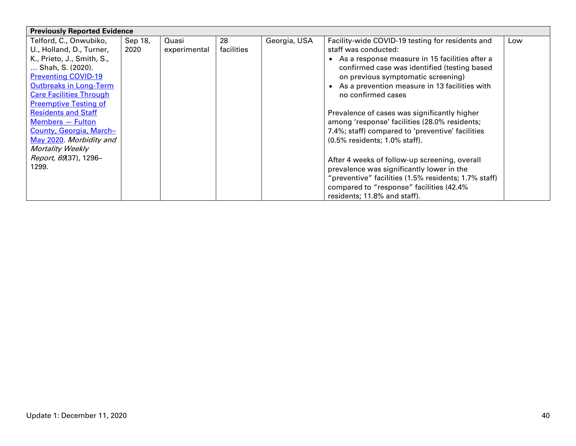| <b>Previously Reported Evidence</b> |         |              |            |              |                                                      |     |
|-------------------------------------|---------|--------------|------------|--------------|------------------------------------------------------|-----|
| Telford, C., Onwubiko,              | Sep 18, | Quasi        | 28         | Georgia, USA | Facility-wide COVID-19 testing for residents and     | Low |
| U., Holland, D., Turner,            | 2020    | experimental | facilities |              | staff was conducted:                                 |     |
| K., Prieto, J., Smith, S.,          |         |              |            |              | • As a response measure in 15 facilities after a     |     |
| Shah, S. (2020).                    |         |              |            |              | confirmed case was identified (testing based         |     |
| <b>Preventing COVID-19</b>          |         |              |            |              | on previous symptomatic screening)                   |     |
| <b>Outbreaks in Long-Term</b>       |         |              |            |              | • As a prevention measure in 13 facilities with      |     |
| <b>Care Facilities Through</b>      |         |              |            |              | no confirmed cases                                   |     |
| <b>Preemptive Testing of</b>        |         |              |            |              |                                                      |     |
| <b>Residents and Staff</b>          |         |              |            |              | Prevalence of cases was significantly higher         |     |
| Members - Fulton                    |         |              |            |              | among 'response' facilities (28.0% residents;        |     |
| County, Georgia, March-             |         |              |            |              | 7.4%; staff) compared to 'preventive' facilities     |     |
| May 2020. Morbidity and             |         |              |            |              | (0.5% residents; 1.0% staff).                        |     |
| <b>Mortality Weekly</b>             |         |              |            |              |                                                      |     |
| Report, 69(37), 1296-               |         |              |            |              | After 4 weeks of follow-up screening, overall        |     |
| 1299.                               |         |              |            |              | prevalence was significantly lower in the            |     |
|                                     |         |              |            |              | "preventive" facilities (1.5% residents; 1.7% staff) |     |
|                                     |         |              |            |              | compared to "response" facilities (42.4%             |     |
|                                     |         |              |            |              | residents; 11.8% and staff).                         |     |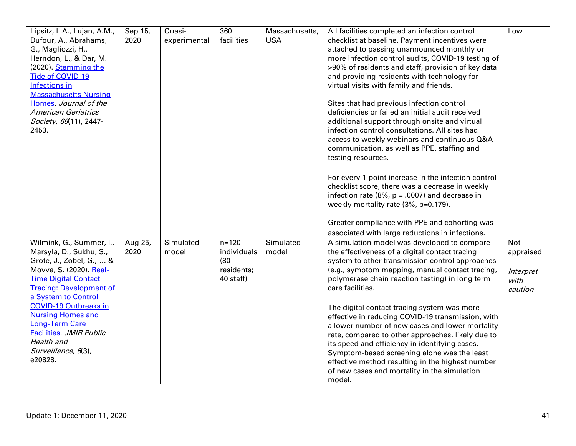| Lipsitz, L.A., Lujan, A.M.,<br>Dufour, A., Abrahams,<br>G., Magliozzi, H.,<br>Herndon, L., & Dar, M.                                                                                               | Sep 15,<br>2020 | Quasi-<br>experimental | 360<br>facilities                                           | Massachusetts,<br><b>USA</b> | All facilities completed an infection control<br>checklist at baseline. Payment incentives were<br>attached to passing unannounced monthly or<br>more infection control audits, COVID-19 testing of                                                                                                                                                                                                                     | Low                                                     |
|----------------------------------------------------------------------------------------------------------------------------------------------------------------------------------------------------|-----------------|------------------------|-------------------------------------------------------------|------------------------------|-------------------------------------------------------------------------------------------------------------------------------------------------------------------------------------------------------------------------------------------------------------------------------------------------------------------------------------------------------------------------------------------------------------------------|---------------------------------------------------------|
| (2020). Stemming the<br>Tide of COVID-19<br><b>Infections in</b><br><b>Massachusetts Nursing</b><br>Homes Journal of the                                                                           |                 |                        |                                                             |                              | >90% of residents and staff, provision of key data<br>and providing residents with technology for<br>virtual visits with family and friends.<br>Sites that had previous infection control                                                                                                                                                                                                                               |                                                         |
| <b>American Geriatrics</b><br>Society, 68(11), 2447-<br>2453.                                                                                                                                      |                 |                        |                                                             |                              | deficiencies or failed an initial audit received<br>additional support through onsite and virtual<br>infection control consultations. All sites had<br>access to weekly webinars and continuous Q&A<br>communication, as well as PPE, staffing and<br>testing resources.                                                                                                                                                |                                                         |
|                                                                                                                                                                                                    |                 |                        |                                                             |                              | For every 1-point increase in the infection control<br>checklist score, there was a decrease in weekly<br>infection rate (8%, $p = .0007$ ) and decrease in<br>weekly mortality rate (3%, p=0.179).                                                                                                                                                                                                                     |                                                         |
|                                                                                                                                                                                                    |                 |                        |                                                             |                              | Greater compliance with PPE and cohorting was<br>associated with large reductions in infections.                                                                                                                                                                                                                                                                                                                        |                                                         |
| Wilmink, G., Summer, I.,<br>Marsyla, D., Sukhu, S.,<br>Grote, J., Zobel, G.,  &<br>Movva, S. (2020). Real-<br><b>Time Digital Contact</b><br><b>Tracing: Development of</b><br>a System to Control | Aug 25,<br>2020 | Simulated<br>model     | $n = 120$<br>individuals<br>(80)<br>residents;<br>40 staff) | Simulated<br>model           | A simulation model was developed to compare<br>the effectiveness of a digital contact tracing<br>system to other transmission control approaches<br>(e.g., symptom mapping, manual contact tracing,<br>polymerase chain reaction testing) in long term<br>care facilities.                                                                                                                                              | <b>Not</b><br>appraised<br>Interpret<br>with<br>caution |
| <b>COVID-19 Outbreaks in</b><br><b>Nursing Homes and</b><br><b>Long-Term Care</b><br><b>Facilities. JMIR Public</b><br>Health and<br>Surveillance, 6(3),<br>e20828.                                |                 |                        |                                                             |                              | The digital contact tracing system was more<br>effective in reducing COVID-19 transmission, with<br>a lower number of new cases and lower mortality<br>rate, compared to other approaches, likely due to<br>its speed and efficiency in identifying cases.<br>Symptom-based screening alone was the least<br>effective method resulting in the highest number<br>of new cases and mortality in the simulation<br>model. |                                                         |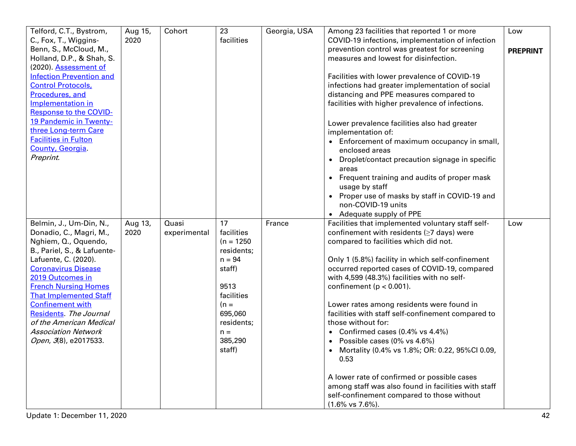| Telford, C.T., Bystrom,                                                                                   | Aug 15,<br>2020 | Cohort                | 23<br>facilities                               | Georgia, USA | Among 23 facilities that reported 1 or more                                                                                                                                      | Low             |
|-----------------------------------------------------------------------------------------------------------|-----------------|-----------------------|------------------------------------------------|--------------|----------------------------------------------------------------------------------------------------------------------------------------------------------------------------------|-----------------|
| C., Fox, T., Wiggins-<br>Benn, S., McCloud, M.,<br>Holland, D.P., & Shah, S.<br>(2020). Assessment of     |                 |                       |                                                |              | COVID-19 infections, implementation of infection<br>prevention control was greatest for screening<br>measures and lowest for disinfection.                                       | <b>PREPRINT</b> |
| <b>Infection Prevention and</b><br><b>Control Protocols,</b><br>Procedures, and                           |                 |                       |                                                |              | Facilities with lower prevalence of COVID-19<br>infections had greater implementation of social<br>distancing and PPE measures compared to                                       |                 |
| Implementation in<br><b>Response to the COVID-</b>                                                        |                 |                       |                                                |              | facilities with higher prevalence of infections.                                                                                                                                 |                 |
| 19 Pandemic in Twenty-<br>three Long-term Care                                                            |                 |                       |                                                |              | Lower prevalence facilities also had greater<br>implementation of:                                                                                                               |                 |
| <b>Facilities in Fulton</b><br>County, Georgia.<br>Preprint.                                              |                 |                       |                                                |              | • Enforcement of maximum occupancy in small,<br>enclosed areas                                                                                                                   |                 |
|                                                                                                           |                 |                       |                                                |              | Droplet/contact precaution signage in specific<br>areas<br>Frequent training and audits of proper mask<br>$\bullet$                                                              |                 |
|                                                                                                           |                 |                       |                                                |              | usage by staff<br>Proper use of masks by staff in COVID-19 and<br>$\bullet$                                                                                                      |                 |
|                                                                                                           |                 |                       |                                                |              | non-COVID-19 units<br>• Adequate supply of PPE                                                                                                                                   |                 |
| Belmin, J., Um-Din, N.,<br>Donadio, C., Magri, M.,<br>Nghiem, Q., Oquendo,<br>B., Pariel, S., & Lafuente- | Aug 13,<br>2020 | Quasi<br>experimental | 17<br>facilities<br>$(n = 1250)$<br>residents; | France       | Facilities that implemented voluntary staff self-<br>confinement with residents $(\geq 7$ days) were<br>compared to facilities which did not.                                    | Low             |
| Lafuente, C. (2020).<br><b>Coronavirus Disease</b><br>2019 Outcomes in                                    |                 |                       | $n = 94$<br>staff)                             |              | Only 1 (5.8%) facility in which self-confinement<br>occurred reported cases of COVID-19, compared<br>with 4,599 (48.3%) facilities with no self-                                 |                 |
| <b>French Nursing Homes</b><br><b>That Implemented Staff</b>                                              |                 |                       | 9513<br>facilities                             |              | confinement ( $p < 0.001$ ).                                                                                                                                                     |                 |
| <b>Confinement with</b><br>Residents. The Journal<br>of the American Medical                              |                 |                       | $(n =$<br>695,060<br>residents;                |              | Lower rates among residents were found in<br>facilities with staff self-confinement compared to<br>those without for:                                                            |                 |
| <b>Association Network</b><br>Open, 3(8), e2017533.                                                       |                 |                       | $n =$<br>385,290<br>staff)                     |              | • Confirmed cases $(0.4\% \text{ vs } 4.4\%)$<br>• Possible cases (0% vs 4.6%)<br>Mortality (0.4% vs 1.8%; OR: 0.22, 95%Cl 0.09)                                                 |                 |
|                                                                                                           |                 |                       |                                                |              | 0.53                                                                                                                                                                             |                 |
|                                                                                                           |                 |                       |                                                |              | A lower rate of confirmed or possible cases<br>among staff was also found in facilities with staff<br>self-confinement compared to those without<br>$(1.6\% \text{ vs } 7.6\%).$ |                 |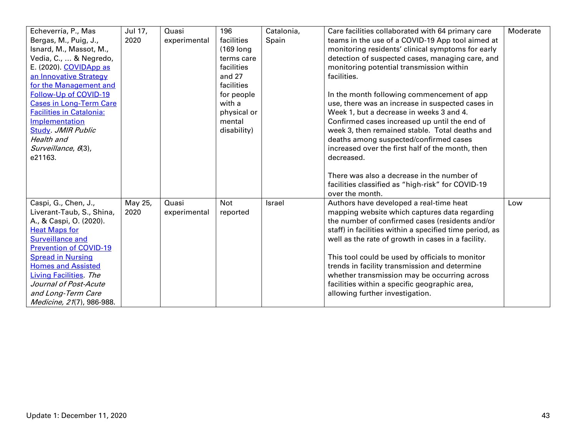| Echeverría, P., Mas             | Jul 17, | Quasi        | 196         | Catalonia,    | Care facilities collaborated with 64 primary care       | Moderate |
|---------------------------------|---------|--------------|-------------|---------------|---------------------------------------------------------|----------|
| Bergas, M., Puig, J.,           | 2020    | experimental | facilities  | Spain         | teams in the use of a COVID-19 App tool aimed at        |          |
| Isnard, M., Massot, M.,         |         |              | (169 long)  |               | monitoring residents' clinical symptoms for early       |          |
| Vedia, C.,  & Negredo,          |         |              | terms care  |               | detection of suspected cases, managing care, and        |          |
| E. (2020). COVIDApp as          |         |              | facilities  |               | monitoring potential transmission within                |          |
| an Innovative Strategy          |         |              | and 27      |               | facilities.                                             |          |
| for the Management and          |         |              | facilities  |               |                                                         |          |
| Follow-Up of COVID-19           |         |              | for people  |               | In the month following commencement of app              |          |
| <b>Cases in Long-Term Care</b>  |         |              | with a      |               | use, there was an increase in suspected cases in        |          |
| <b>Facilities in Catalonia:</b> |         |              | physical or |               | Week 1, but a decrease in weeks 3 and 4.                |          |
| Implementation                  |         |              | mental      |               | Confirmed cases increased up until the end of           |          |
| <b>Study</b> JMIR Public        |         |              | disability) |               | week 3, then remained stable. Total deaths and          |          |
| Health and                      |         |              |             |               | deaths among suspected/confirmed cases                  |          |
| Surveillance, 6(3),             |         |              |             |               | increased over the first half of the month, then        |          |
| e21163.                         |         |              |             |               | decreased.                                              |          |
|                                 |         |              |             |               |                                                         |          |
|                                 |         |              |             |               | There was also a decrease in the number of              |          |
|                                 |         |              |             |               | facilities classified as "high-risk" for COVID-19       |          |
|                                 |         |              |             |               | over the month.                                         |          |
| Caspi, G., Chen, J.,            | May 25, | Quasi        | <b>Not</b>  | <b>Israel</b> | Authors have developed a real-time heat                 | Low      |
| Liverant-Taub, S., Shina,       | 2020    | experimental | reported    |               | mapping website which captures data regarding           |          |
| A., & Caspi, O. (2020).         |         |              |             |               | the number of confirmed cases (residents and/or         |          |
| <b>Heat Maps for</b>            |         |              |             |               | staff) in facilities within a specified time period, as |          |
| <b>Surveillance and</b>         |         |              |             |               | well as the rate of growth in cases in a facility.      |          |
| <b>Prevention of COVID-19</b>   |         |              |             |               |                                                         |          |
| <b>Spread in Nursing</b>        |         |              |             |               | This tool could be used by officials to monitor         |          |
| <b>Homes and Assisted</b>       |         |              |             |               | trends in facility transmission and determine           |          |
| Living Facilities. The          |         |              |             |               | whether transmission may be occurring across            |          |
| Journal of Post-Acute           |         |              |             |               | facilities within a specific geographic area,           |          |
| and Long-Term Care              |         |              |             |               | allowing further investigation.                         |          |
| Medicine, 21(7), 986-988.       |         |              |             |               |                                                         |          |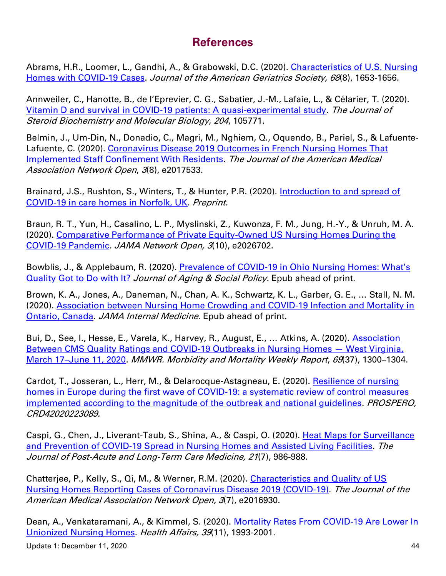### **References**

Abrams, H.R., Loomer, L., Gandhi, A., & Grabowski, D.C. (2020). [Characteristics of U.S. Nursing](https://onlinelibrary.wiley.com/doi/full/10.1111/jgs.16661)  [Homes with COVID](https://onlinelibrary.wiley.com/doi/full/10.1111/jgs.16661)-19 Cases. Journal of the American Geriatrics Society, 68(8), 1653-1656.

Annweiler, C., Hanotte, B., de l'Eprevier, C. G., Sabatier, J.-M., Lafaie, L., & Célarier, T. (2020). [Vitamin D and survival in COVID-19 patients: A quasi-experimental study.](https://www.sciencedirect.com/science/article/pii/S096007602030296X?via%3Dihub) The Journal of Steroid Biochemistry and Molecular Biology, 204, 105771.

Belmin, J., Um-Din, N., Donadio, C., Magri, M., Nghiem, Q., Oquendo, B., Pariel, S., & Lafuente-Lafuente, C. (2020). [Coronavirus Disease 2019 Outcomes in French Nursing Homes That](https://jamanetwork.com/journals/jamanetworkopen/fullarticle/2769241)  [Implemented Staff Confinement With Residents.](https://jamanetwork.com/journals/jamanetworkopen/fullarticle/2769241) The Journal of the American Medical Association Network Open, 3(8), e2017533.

Brainard, J.S., Rushton, S., Winters, T., & Hunter, P.R. (2020). Introduction to and spread of [COVID-19 in care homes in Norfolk, UK.](https://www.medrxiv.org/content/10.1101/2020.06.17.20133629v1) Preprint.

Braun, R. T., Yun, H., Casalino, L. P., Myslinski, Z., Kuwonza, F. M., Jung, H.-Y., & Unruh, M. A. (2020). [Comparative Performance of Private Equity-Owned US Nursing Homes During the](https://jamanetwork.com/journals/jamanetworkopen/fullarticle/2772306)  [COVID-19 Pandemic](https://jamanetwork.com/journals/jamanetworkopen/fullarticle/2772306). JAMA Network Open, 3(10), e2026702.

Bowblis, J., & Applebaum, R. (2020). Prevalence of COVID-[19 in Ohio Nursing Homes: What's](https://www.tandfonline.com/doi/full/10.1080/08959420.2020.1824542)  [Quality Got to Do with It?](https://www.tandfonline.com/doi/full/10.1080/08959420.2020.1824542) Journal of Aging & Social Policy. Epub ahead of print.

Brown, K. A., Jones, A., Daneman, N., Chan, A. K., Schwartz, K. L., Garber, G. E., … Stall, N. M. (2020). [Association between Nursing Home Crowding and COVID-19 Infection and Mortality in](https://pubmed.ncbi.nlm.nih.gov/33165560/)  [Ontario, Canada.](https://pubmed.ncbi.nlm.nih.gov/33165560/) JAMA Internal Medicine. Epub ahead of print.

Bui, D., See, I., Hesse, E., Varela, K., Harvey, R., August, E., ... Atkins, A. (2020). Association [Between CMS Quality Ratings and COVID-19 Outbreaks in Nursing Homes](https://www.cdc.gov/mmwr/volumes/69/wr/mm6937a5.htm?s_cid=mm6937a5_w) — West Virginia, March 17-[June 11, 2020.](https://www.cdc.gov/mmwr/volumes/69/wr/mm6937a5.htm?s_cid=mm6937a5_w) MMWR. Morbidity and Mortality Weekly Report, 69(37), 1300-1304.

Cardot, T., Josseran, L., Herr, M., & Delarocque-Astagneau, E. (2020). [Resilience of nursing](https://www.crd.york.ac.uk/prospero/display_record.php?RecordID=223089)  [homes in Europe during the first wave of COVID-19: a systematic review of control measures](https://www.crd.york.ac.uk/prospero/display_record.php?RecordID=223089)  implemented according to the magnitude of the outbreak and national quidelines. *PROSPERO*, CRD42020223089.

Caspi, G., Chen, J., Liverant-Taub, S., Shina, A., & Caspi, O. (2020). Heat Maps for Surveillance [and Prevention of COVID-19 Spread in Nursing Homes and Assisted Living Facilities.](https://www.jamda.com/article/S1525-8610(20)30451-5/fulltext) The Journal of Post-Acute and Long-Term Care Medicine, 21(7), 986-988.

Chatterjee, P., Kelly, S., Qi, M., & Werner, R.M. (2020). [Characteristics and Quality of US](https://jamanetwork.com/journals/jamanetworkopen/fullarticle/2768763)  [Nursing Homes Reporting Cases of Coronavirus Disease 2019 \(COVID-19\).](https://jamanetwork.com/journals/jamanetworkopen/fullarticle/2768763) The Journal of the American Medical Association Network Open, 3(7), e2016930.

Dean, A., Venkataramani, A., & Kimmel, S. (2020). Mortality Rates From COVID-19 Are Lower In [Unionized Nursing Homes.](https://www.healthaffairs.org/doi/10.1377/hlthaff.2020.01011) Health Affairs, 39(11), 1993-2001.

Update 1: December 11, 2020 44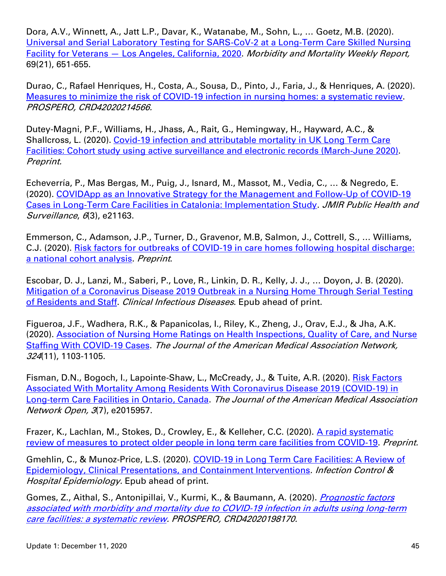Dora, A.V., Winnett, A., Jatt L.P., Davar, K., Watanabe, M., Sohn, L., … Goetz, M.B. (2020). [Universal and Serial Laboratory Testing for SARS-CoV-2 at a Long-Term Care Skilled Nursing](https://www.cdc.gov/mmwr/volumes/69/wr/mm6921e1.htm)  Facility for Veterans — [Los Angeles, California, 2020.](https://www.cdc.gov/mmwr/volumes/69/wr/mm6921e1.htm) Morbidity and Mortality Weekly Report, 69(21), 651-655.

Durao, C., Rafael Henriques, H., Costa, A., Sousa, D., Pinto, J., Faria, J., & Henriques, A. (2020). [Measures to minimize the risk of COVID-19 infection in nursing homes: a systematic review.](https://www.crd.york.ac.uk/prospero/display_record.php?RecordID=214566) PROSPERO, CRD42020214566.

Dutey-Magni, P.F., Williams, H., Jhass, A., Rait, G., Hemingway, H., Hayward, A.C., & Shallcross, L. (2020). [Covid-19 infection and attributable mortality in UK Long Term Care](https://www.medrxiv.org/content/10.1101/2020.07.14.20152629v1)  [Facilities: Cohort study using active surveillance and electronic records \(March-June 2020\).](https://www.medrxiv.org/content/10.1101/2020.07.14.20152629v1) Preprint.

Echeverría, P., Mas Bergas, M., Puig, J., Isnard, M., Massot, M., Vedia, C., … & Negredo, E. (2020). [COVIDApp as an Innovative Strategy for the Management and Follow-Up of COVID-19](https://publichealth.jmir.org/2020/3/e21163/)  [Cases in Long-Term Care Facilities in Catalonia: Implementation Study.](https://publichealth.jmir.org/2020/3/e21163/) JMIR Public Health and Surveillance, 6(3), e21163.

Emmerson, C., Adamson, J.P., Turner, D., Gravenor, M.B, Salmon, J., Cottrell, S., … Williams, C.J. (2020). [Risk factors for outbreaks of COVID-19 in care homes following hospital discharge:](https://www.medrxiv.org/content/10.1101/2020.08.24.20168955v1)  [a national cohort analysis.](https://www.medrxiv.org/content/10.1101/2020.08.24.20168955v1) Preprint.

Escobar, D. J., Lanzi, M., Saberi, P., Love, R., Linkin, D. R., Kelly, J. J., … Doyon, J. B. (2020). [Mitigation of a Coronavirus Disease 2019 Outbreak in a Nursing Home Through Serial Testing](https://academic.oup.com/cid/advance-article/doi/10.1093/cid/ciaa1021/5873784)  [of Residents and Staff.](https://academic.oup.com/cid/advance-article/doi/10.1093/cid/ciaa1021/5873784) Clinical Infectious Diseases. Epub ahead of print.

Figueroa, J.F., Wadhera, R.K., & Papanicolas, I., Riley, K., Zheng, J., Orav, E.J., & Jha, A.K. (2020). [Association of Nursing Home Ratings on Health Inspections, Quality of Care, and Nurse](https://jamanetwork.com/journals/jama/fullarticle/2769437)  [Staffing With COVID-19 Cases.](https://jamanetwork.com/journals/jama/fullarticle/2769437) The Journal of the American Medical Association Network, 324(11), 1103-1105.

Fisman, D.N., Bogoch, I., Lapointe-Shaw, L., McCready, J., & Tuite, A.R. (2020). [Risk Factors](https://jamanetwork.com/journals/jamanetworkopen/fullarticle/2768539)  [Associated With Mortality Among Residents With Coronavirus Disease 2019 \(COVID-19\) in](https://jamanetwork.com/journals/jamanetworkopen/fullarticle/2768539)  [Long-term Care Facilities in Ontario, Canada.](https://jamanetwork.com/journals/jamanetworkopen/fullarticle/2768539) The Journal of the American Medical Association Network Open, 3(7), e2015957.

Frazer, K., Lachlan, M., Stokes, D., Crowley, E., & Kelleher, C.C. (2020). A rapid systematic [review of measures to protect older people in long term care facilities from COVID-19.](https://www.medrxiv.org/content/10.1101/2020.10.29.20222182v1) Preprint.

Gmehlin, C., & Munoz-Price, L.S. (2020). [COVID-19 in Long Term Care Facilities: A Review of](https://www.cambridge.org/core/services/aop-cambridge-core/content/view/579A45D9A871F94897DB711F852CA7BA/S0899823X20012921a.pdf/covid19_in_long_term_care_facilities_a_review_of_epidemiology_clinical_presentations_and_containment_interventions.pdf)  [Epidemiology, Clinical Presentations, and Containment Interventions.](https://www.cambridge.org/core/services/aop-cambridge-core/content/view/579A45D9A871F94897DB711F852CA7BA/S0899823X20012921a.pdf/covid19_in_long_term_care_facilities_a_review_of_epidemiology_clinical_presentations_and_containment_interventions.pdf) Infection Control & Hospital Epidemiology. Epub ahead of print.

Gomes, Z., Aithal, S., Antonipillai, V., Kurmi, K., & Baumann, A. (2020). *Prognostic factors* [associated with morbidity and mortality due to COVID-19 infection in adults using long-term](https://www.crd.york.ac.uk/prospero/display_record.php?RecordID=198170)  [care facilities: a systematic review.](https://www.crd.york.ac.uk/prospero/display_record.php?RecordID=198170) PROSPERO, CRD42020198170.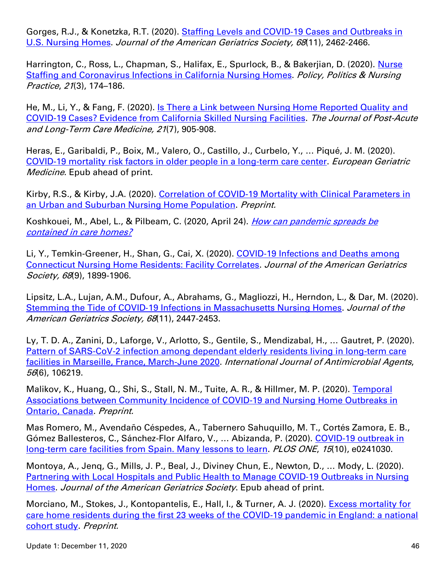Gorges, R.J., & Konetzka, R.T. (2020). Staffing Levels and COVID-19 Cases and Outbreaks in [U.S. Nursing Homes.](https://onlinelibrary.wiley.com/doi/full/10.1111/jgs.16787) Journal of the American Geriatrics Society, 68(11), 2462-2466.

Harrington, C., Ross, L., Chapman, S., Halifax, E., Spurlock, B., & Bakerjian, D. (2020). [Nurse](https://journals.sagepub.com/doi/10.1177/1527154420938707)  [Staffing and Coronavirus Infections in California Nursing Homes.](https://journals.sagepub.com/doi/10.1177/1527154420938707) Policy, Politics & Nursing Practice, 21(3), 174–186.

He, M., Li, Y., & Fang, F. (2020). Is There a Link between Nursing Home Reported Quality and [COVID-19 Cases? Evidence from California Skilled Nursing Facilities.](https://www.jamda.com/article/S1525-8610(20)30521-1/fulltext) The Journal of Post-Acute and Long-Term Care Medicine, 21(7), 905-908.

Heras, E., Garibaldi, P., Boix, M., Valero, O., Castillo, J., Curbelo, Y., … Piqué, J. M. (2020). [COVID-19 mortality risk factors in older people in a long-term care center.](https://link.springer.com/article/10.1007/s41999-020-00432-w#citeas) European Geriatric Medicine. Epub ahead of print.

Kirby, R.S., & Kirby, J.A. (2020). [Correlation of COVID-19 Mortality with Clinical Parameters in](https://www.medrxiv.org/content/10.1101/2020.10.15.20213629v1)  [an Urban and Suburban Nursing Home Population.](https://www.medrxiv.org/content/10.1101/2020.10.15.20213629v1) Preprint.

Koshkouei, M., Abel, L., & Pilbeam, C. (2020, April 24). How can pandemic spreads be [contained in care homes?](https://www.cebm.net/covid-19/how-can-pandemic-spreads-be-contained-in-care-homes/)

Li, Y., Temkin-Greener, H., Shan, G., Cai, X. (2020). COVID-19 Infections and Deaths among [Connecticut Nursing Home Residents: Facility Correlates.](https://onlinelibrary.wiley.com/doi/10.1111/jgs.16689) Journal of the American Geriatrics Society, 68(9), 1899-1906.

Lipsitz, L.A., Lujan, A.M., Dufour, A., Abrahams, G., Magliozzi, H., Herndon, L., & Dar, M. (2020). Stemming the Tide of COVID-[19 Infections in Massachusetts Nursing Homes.](https://onlinelibrary.wiley.com/doi/10.1111/jgs.16832) Journal of the American Geriatrics Society, 68(11), 2447-2453.

Ly, T. D. A., Zanini, D., Laforge, V., Arlotto, S., Gentile, S., Mendizabal, H., … Gautret, P. (2020). Pattern [of SARS-CoV-2 infection among dependant elderly residents living in long-term care](https://www.sciencedirect.com/science/article/pii/S0924857920304301?via%3Dihub)  [facilities in Marseille, France, March-June 2020.](https://www.sciencedirect.com/science/article/pii/S0924857920304301?via%3Dihub) International Journal of Antimicrobial Agents, 56(6), 106219.

Malikov, K., Huang, Q., Shi, S., Stall, N. M., Tuite, A. R., & Hillmer, M. P. (2020). [Temporal](https://www.medrxiv.org/content/10.1101/2020.11.17.20233312v1)  [Associations between Community Incidence of COVID-19 and Nursing Home Outbreaks in](https://www.medrxiv.org/content/10.1101/2020.11.17.20233312v1)  [Ontario, Canada.](https://www.medrxiv.org/content/10.1101/2020.11.17.20233312v1) Preprint.

Mas Romero, M., Avendaño Céspedes, A., Tabernero Sahuquillo, M. T., Cortés Zamora, E. B., Gómez Ballesteros, C., Sánchez-Flor Alfaro, V., ... Abizanda, P. (2020). COVID-19 outbreak in [long-term care facilities from Spain. Many lessons to learn.](https://journals.plos.org/plosone/article?id=10.1371/journal.pone.0241030) PLOS ONE, 15(10), e0241030.

Montoya, A., Jenq, G., Mills, J. P., Beal, J., Diviney Chun, E., Newton, D., … Mody, L. (2020). [Partnering with Local Hospitals and Public Health to Manage COVID](https://onlinelibrary.wiley.com/doi/10.1111/jgs.16869)‐19 Outbreaks in Nursing [Homes.](https://onlinelibrary.wiley.com/doi/10.1111/jgs.16869) Journal of the American Geriatrics Society. Epub ahead of print.

Morciano, M., Stokes, J., Kontopantelis, E., Hall, I., & Turner, A. J. (2020). [Excess mortality for](https://www.medrxiv.org/content/10.1101/2020.11.11.20229815v1)  [care home residents during the first 23 weeks of the COVID-19 pandemic in England: a national](https://www.medrxiv.org/content/10.1101/2020.11.11.20229815v1)  [cohort study.](https://www.medrxiv.org/content/10.1101/2020.11.11.20229815v1) Preprint.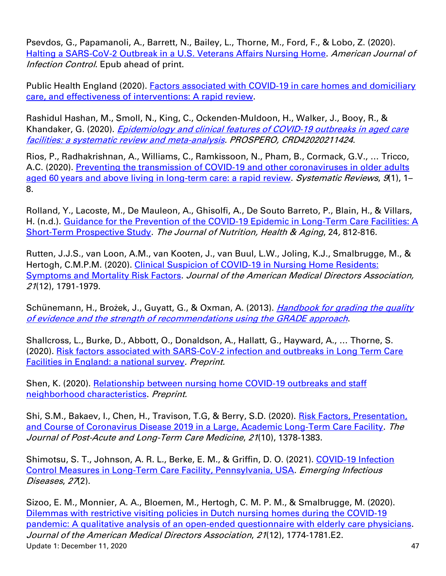Psevdos, G., Papamanoli, A., Barrett, N., Bailey, L., Thorne, M., Ford, F., & Lobo, Z. (2020). [Halting a SARS-CoV-2 Outbreak in a U.S. Veterans Affairs Nursing Home.](https://www.ajicjournal.org/article/S0196-6553(20)30964-0/fulltext) American Journal of Infection Control. Epub ahead of print.

Public Health England (2020). Factors associated with COVID-19 in care homes and domiciliary [care, and effectiveness of interventions: A](https://phe.koha-ptfs.co.uk/cgi-bin/koha/opac-retrieve-file.pl?id=1bc5eb8d6e5ef9a43c248ef08549ee53) rapid review.

Rashidul Hashan, M., Smoll, N., King, C., Ockenden-Muldoon, H., Walker, J., Booy, R., & Khandaker, G. (2020). *Epidemiology and clinical features of COVID-19 outbreaks in aged care* [facilities: a systematic review and meta-analysis.](https://www.crd.york.ac.uk/prospero/display_record.php?RecordID=211424) PROSPERO, CRD42020211424.

Rios, P., Radhakrishnan, A., Williams, C., Ramkissoon, N., Pham, B., Cormack, G.V., … Tricco, A.C. (2020). [Preventing the transmission of COVID-19 and other coronaviruses in older adults](https://pubmed.ncbi.nlm.nih.gov/32977848/)  aged 60 [years and above living in long-term care: a rapid review.](https://pubmed.ncbi.nlm.nih.gov/32977848/) Systematic Reviews, 9(1), 1– 8.

Rolland, Y., Lacoste, M., De Mauleon, A., Ghisolfi, A., De Souto Barreto, P., Blain, H., & Villars, H. (n.d.). [Guidance for the Prevention of the COVID-19 Epidemic in Long-Term Care Facilities: A](https://link.springer.com/article/10.1007%2Fs12603-020-1440-2)  [Short-Term Prospective Study.](https://link.springer.com/article/10.1007%2Fs12603-020-1440-2) The Journal of Nutrition, Health & Aging, 24, 812-816.

Rutten, J.J.S., van Loon, A.M., van Kooten, J., van Buul, L.W., Joling, K.J., Smalbrugge, M., & Hertogh, C.M.P.M. (2020). [Clinical Suspicion of COVID-19 in Nursing Home Residents:](https://www.jamda.com/article/S1525-8610(20)30926-9/fulltext)  [Symptoms and Mortality Risk Factors.](https://www.jamda.com/article/S1525-8610(20)30926-9/fulltext) Journal of the American Medical Directors Association, 21(12), 1791-1979.

Schünemann, H., Brożek, J., Guyatt, G., & Oxman, A. (2013). *Handbook for grading the quality* [of evidence and the strength of recommendations using the GRADE approach](https://gdt.gradepro.org/app/handbook/handbook.html).

Shallcross, L., Burke, D., Abbott, O., Donaldson, A., Hallatt, G., Hayward, A., … Thorne, S. (2020). [Risk factors associated with SARS-CoV-2 infection and outbreaks in Long Term Care](https://www.medrxiv.org/content/10.1101/2020.10.02.20205591v1)  [Facilities in England: a national survey.](https://www.medrxiv.org/content/10.1101/2020.10.02.20205591v1) Preprint.

Shen, K. (2020). Relationship between nursing home COVID-19 outbreaks and staff [neighborhood characteristics.](https://www.medrxiv.org/content/10.1101/2020.09.10.20192203v1) Preprint.

Shi, S.M., Bakaev, I., Chen, H., Travison, T.G, & Berry, S.D. (2020). Risk Factors, Presentation, [and Course of Coronavirus Disease 2019 in a Large, Academic Long-Term Care Facility.](https://www.jamda.com/article/S1525-8610(20)30733-7/fulltext) The Journal of Post-Acute and Long-Term Care Medicine, 21(10), 1378-1383.

Shimotsu, S. T., Johnson, A. R. L., Berke, E. M., & Griffin, D. O. (2021). COVID-19 Infection [Control Measures in Long-Term Care Facility, Pennsylvania, USA.](https://wwwnc.cdc.gov/eid/article/27/2/20-4265_article#suggestedcitation) Emerging Infectious Diseases, 27(2).

Update 1: December 11, 2020 47 Sizoo, E. M., Monnier, A. A., Bloemen, M., Hertogh, C. M. P. M., & Smalbrugge, M. (2020). [Dilemmas with restrictive visiting policies in Dutch nursing](https://www.jamda.com/article/S1525-8610(20)30899-9/fulltext) homes during the COVID-19 pandemic: A [qualitative analysis of an open-ended questionnaire with elderly care physicians.](https://www.jamda.com/article/S1525-8610(20)30899-9/fulltext) Journal of the American Medical Directors Association, 21(12), 1774-1781.E2.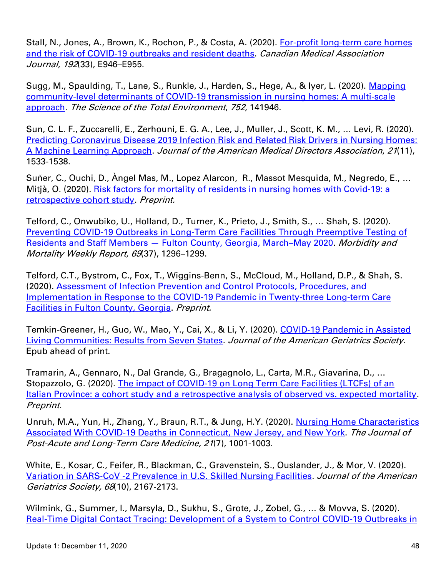Stall, N., Jones, A., Brown, K., Rochon, P., & Costa, A. (2020). For-profit long-term care homes [and the risk of COVID-19 outbreaks and resident deaths.](https://www.cmaj.ca/content/192/33/E946) Canadian Medical Association Journal, 192(33), E946-E955.

Sugg, M., Spaulding, T., Lane, S., Runkle, J., Harden, S., Hege, A., & Iyer, L. (2020). Mapping [community-level determinants of COVID-19 transmission in nursing homes: A multi-scale](https://www.sciencedirect.com/science/article/pii/S0048969720354759?via%3Dihub)  [approach.](https://www.sciencedirect.com/science/article/pii/S0048969720354759?via%3Dihub) The Science of the Total Environment, 752, 141946.

Sun, C. L. F., Zuccarelli, E., Zerhouni, E. G. A., Lee, J., Muller, J., Scott, K. M., … Levi, R. (2020). [Predicting Coronavirus Disease 2019 Infection Risk and Related Risk Drivers in Nursing Homes:](https://www.ncbi.nlm.nih.gov/research/coronavirus/publication/33032935)  [A Machine Learning Approach.](https://www.ncbi.nlm.nih.gov/research/coronavirus/publication/33032935) Journal of the American Medical Directors Association, 21(11), 1533-1538.

Suñer, C., Ouchi, D., Àngel Mas, M., Lopez Alarcon, R., Massot Mesquida, M., Negredo, E., … Mitjà, O. (2020). [Risk factors for mortality of residents in nursing homes with Covid-19: a](https://www.medrxiv.org/content/10.1101/2020.11.09.20228171v1)  [retrospective cohort study.](https://www.medrxiv.org/content/10.1101/2020.11.09.20228171v1) Preprint.

Telford, C., Onwubiko, U., Holland, D., Turner, K., Prieto, J., Smith, S., … Shah, S. (2020). [Preventing COVID-19 Outbreaks in Long-Term Care Facilities Through Preemptive Testing of](https://www.cdc.gov/mmwr/volumes/69/wr/mm6937a4.htm?s_cid=mm6937a4_w)  Residents and Staff Members — [Fulton County, Georgia, March](https://www.cdc.gov/mmwr/volumes/69/wr/mm6937a4.htm?s_cid=mm6937a4_w)–May 2020. Morbidity and Mortality Weekly Report, 69(37), 1296–1299.

Telford, C.T., Bystrom, C., Fox, T., Wiggins-Benn, S., McCloud, M., Holland, D.P., & Shah, S. (2020). [Assessment of Infection Prevention and Control Protocols, Procedures, and](https://www.medrxiv.org/content/10.1101/2020.08.13.20174466v1)  [Implementation in Response to the COVID-19 Pandemic in Twenty-three Long-term Care](https://www.medrxiv.org/content/10.1101/2020.08.13.20174466v1)  [Facilities in Fulton County, Georgia.](https://www.medrxiv.org/content/10.1101/2020.08.13.20174466v1) Preprint.

Temkin-Greener, H., Guo, W., Mao, Y., Cai, X., & Li, Y. (2020). COVID-19 Pandemic in Assisted [Living Communities: Results from Seven States.](https://onlinelibrary.wiley.com/doi/10.1111/jgs.16850) Journal of the American Geriatrics Society. Epub ahead of print.

Tramarin, A., Gennaro, N., Dal Grande, G., Bragagnolo, L., Carta, M.R., Giavarina, D., … Stopazzolo, G. (2020). The impact of COVID-19 on Long Term Care Facilities (LTCFs) of an [Italian Province: a cohort study and a retrospective analysis of observed vs. expected mortality.](https://www.medrxiv.org/content/10.1101/2020.10.21.20216705v1) Preprint.

Unruh, M.A., Yun, H., Zhang, Y., Braun, R.T., & Jung, H.Y. (2020). Nursing Home Characteristics [Associated With COVID-19 Deaths in Connecticut, New Jersey, and New York.](https://www.ncbi.nlm.nih.gov/pmc/articles/PMC7294277/) The Journal of Post-Acute and Long-Term Care Medicine, 21(7), 1001-1003.

White, E., Kosar, C., Feifer, R., Blackman, C., Gravenstein, S., Ouslander, J., & Mor, V. (2020). Variation in SARS‐CoV ‐[2 Prevalence in U.S. Skilled Nursing Facilities.](https://onlinelibrary.wiley.com/doi/full/10.1111/jgs.16752) Journal of the American Geriatrics Society, 68(10), 2167-2173.

Wilmink, G., Summer, I., Marsyla, D., Sukhu, S., Grote, J., Zobel, G., … & Movva, S. (2020). [Real-Time Digital Contact Tracing: Development of a System to Control COVID-19 Outbreaks in](https://publichealth.jmir.org/2020/3/e20828/)